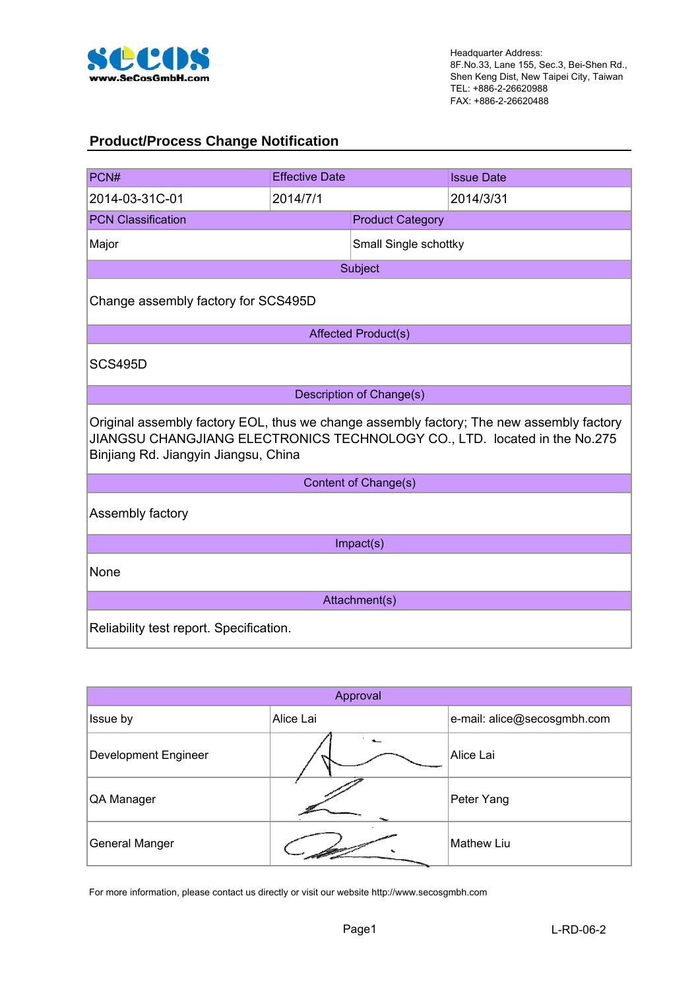

### **Product/Process Change Notification**

| PCN#                                                                                                                                                                                                          | <b>Effective Date</b>               |                                 | <b>Issue Date</b> |  |  |  |  |
|---------------------------------------------------------------------------------------------------------------------------------------------------------------------------------------------------------------|-------------------------------------|---------------------------------|-------------------|--|--|--|--|
| 2014-03-31C-01                                                                                                                                                                                                | 2014/7/1                            |                                 | 2014/3/31         |  |  |  |  |
| <b>PCN Classification</b>                                                                                                                                                                                     |                                     | <b>Product Category</b>         |                   |  |  |  |  |
| Major                                                                                                                                                                                                         |                                     | Small Single schottky           |                   |  |  |  |  |
|                                                                                                                                                                                                               |                                     | Subject                         |                   |  |  |  |  |
|                                                                                                                                                                                                               | Change assembly factory for SCS495D |                                 |                   |  |  |  |  |
|                                                                                                                                                                                                               | <b>Affected Product(s)</b>          |                                 |                   |  |  |  |  |
| <b>SCS495D</b>                                                                                                                                                                                                |                                     |                                 |                   |  |  |  |  |
|                                                                                                                                                                                                               |                                     | <b>Description of Change(s)</b> |                   |  |  |  |  |
| Original assembly factory EOL, thus we change assembly factory; The new assembly factory<br>JIANGSU CHANGJIANG ELECTRONICS TECHNOLOGY CO., LTD. located in the No.275<br>Binjiang Rd. Jiangyin Jiangsu, China |                                     |                                 |                   |  |  |  |  |
|                                                                                                                                                                                                               |                                     | Content of Change(s)            |                   |  |  |  |  |
| Assembly factory                                                                                                                                                                                              |                                     |                                 |                   |  |  |  |  |
|                                                                                                                                                                                                               |                                     | Impact(s)                       |                   |  |  |  |  |
| None                                                                                                                                                                                                          |                                     |                                 |                   |  |  |  |  |
|                                                                                                                                                                                                               | Attachment(s)                       |                                 |                   |  |  |  |  |
| Reliability test report. Specification.                                                                                                                                                                       |                                     |                                 |                   |  |  |  |  |

| Approval              |           |                             |  |  |  |  |
|-----------------------|-----------|-----------------------------|--|--|--|--|
| Issue by              | Alice Lai | e-mail: alice@secosgmbh.com |  |  |  |  |
| Development Engineer  |           | Alice Lai                   |  |  |  |  |
| QA Manager            |           | Peter Yang                  |  |  |  |  |
| <b>General Manger</b> |           | <b>Mathew Liu</b>           |  |  |  |  |

For more information, please contact us directly or visit our website http://www.secosgmbh.com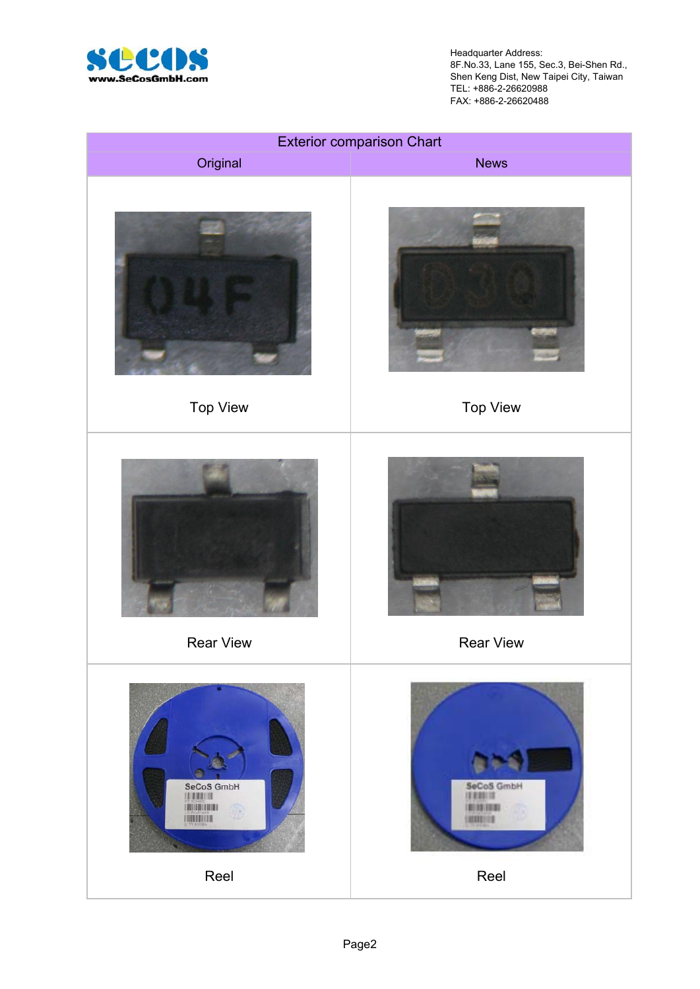

Headquarter Address: 8F.No.33, Lane 155, Sec.3, Bei-Shen Rd., Shen Keng Dist, New Taipei City, Taiwan TEL: +886-2-26620988 FAX: +886-2-26620488

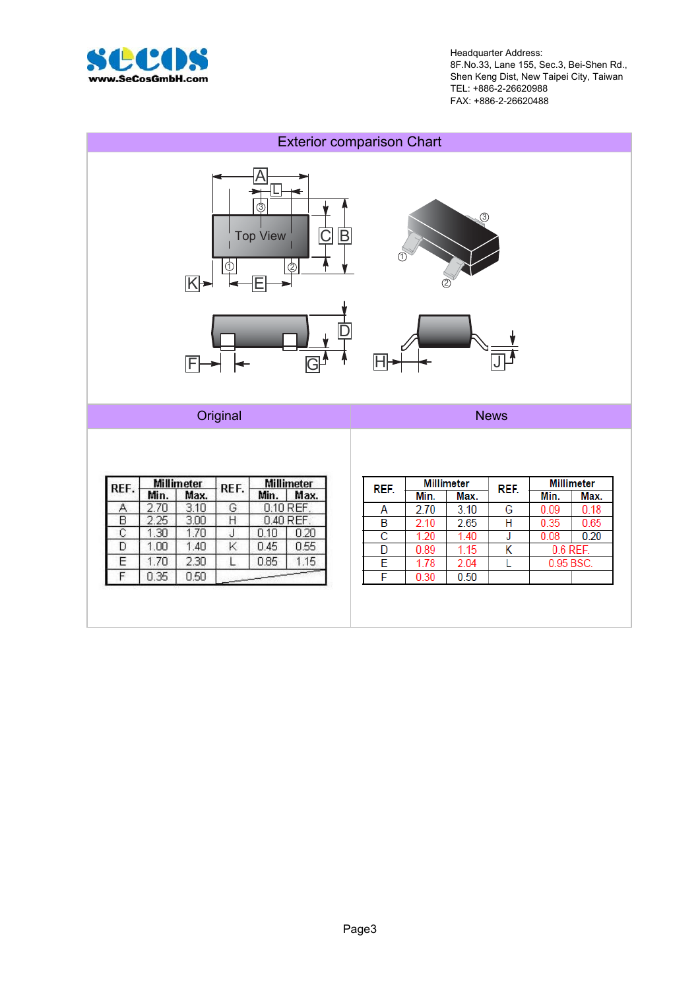

Headquarter Address: 8F.No.33, Lane 155, Sec.3, Bei-Shen Rd., Shen Keng Dist, New Taipei City, Taiwan TEL: +886-2-26620988 FAX: +886-2-26620488

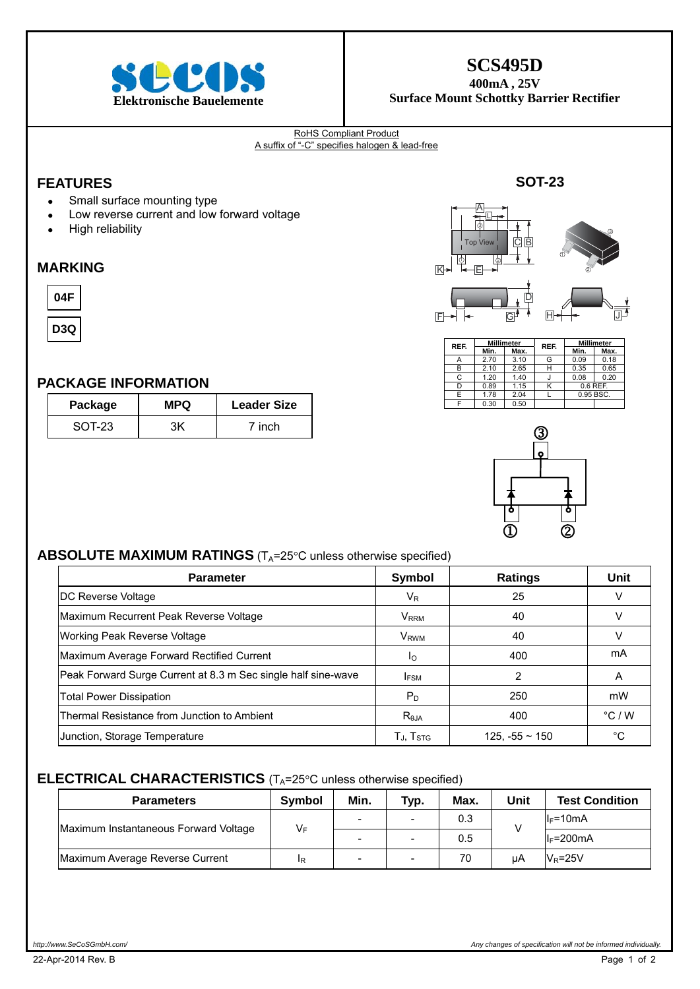

### **SCS495D**

**400mA , 25V Surface Mount Schottky Barrier Rectifier** 

#### RoHS Compliant Product A suffix of "-C" specifies halogen & lead-free

### **FEATURES**

- Small surface mounting type
- Low reverse current and low forward voltage
- High reliability

#### **MARKING**



**D3Q**

#### **PACKAGE INFORMATION**

| Package | <b>MPQ</b> | <b>Leader Size</b> |
|---------|------------|--------------------|
| SOT-23  |            | 7 inch             |



| REF. | <b>Millimeter</b> |      | REF. | <b>Millimeter</b> |      |  |
|------|-------------------|------|------|-------------------|------|--|
|      | Min.              | Max. |      | Min.              | Max. |  |
| A    | 2.70              | 3.10 | G    | 0.09              | 0.18 |  |
| в    | 2.10              | 2.65 | н    | 0.35              | 0.65 |  |
| C    | 1.20              | 1.40 |      | 0.08              | 0.20 |  |
| D    | 0.89              | 1.15 | Κ    | 0.6 REF.          |      |  |
| F    | 1.78              | 2.04 |      | 0.95 BSC.         |      |  |
|      | 0.30              | 0.50 |      |                   |      |  |



### **ABSOLUTE MAXIMUM RATINGS** (T<sub>A</sub>=25°C unless otherwise specified)

| <b>Parameter</b>                                              | <b>Symbol</b>               | <b>Ratings</b>      | Unit            |
|---------------------------------------------------------------|-----------------------------|---------------------|-----------------|
| DC Reverse Voltage                                            | $V_{R}$                     | 25                  |                 |
| Maximum Recurrent Peak Reverse Voltage                        | <b>V</b> <sub>RRM</sub>     | 40                  |                 |
| Working Peak Reverse Voltage                                  | <b>V</b> <sub>RWM</sub>     | 40                  |                 |
| Maximum Average Forward Rectified Current                     | Io                          | 400                 | mA              |
| Peak Forward Surge Current at 8.3 m Sec single half sine-wave | <b>IFSM</b>                 | 2                   | A               |
| <b>Total Power Dissipation</b>                                | $P_D$                       | 250                 | mW              |
| Thermal Resistance from Junction to Ambient                   | R <sub>0JA</sub>            | 400                 | $\degree$ C / W |
| Junction, Storage Temperature                                 | $T_{\rm J}$ , $T_{\rm STG}$ | $125, -55 \sim 150$ | °C              |

#### **ELECTRICAL CHARACTERISTICS** (T<sub>A</sub>=25°C unless otherwise specified)

| <b>Parameters</b>                     | Symbol | Min. | Typ.                     | Max. | Unit | <b>Test Condition</b> |
|---------------------------------------|--------|------|--------------------------|------|------|-----------------------|
| Maximum Instantaneous Forward Voltage | $V_F$  |      | $\overline{\phantom{0}}$ | 0.3  |      | $I_F = 10mA$          |
|                                       |        |      |                          | 0.5  |      | $I_F = 200 \text{mA}$ |
| Maximum Average Reverse Current       | IR     | -    | $\overline{\phantom{a}}$ | 70   | uA   | $V_R = 25V$           |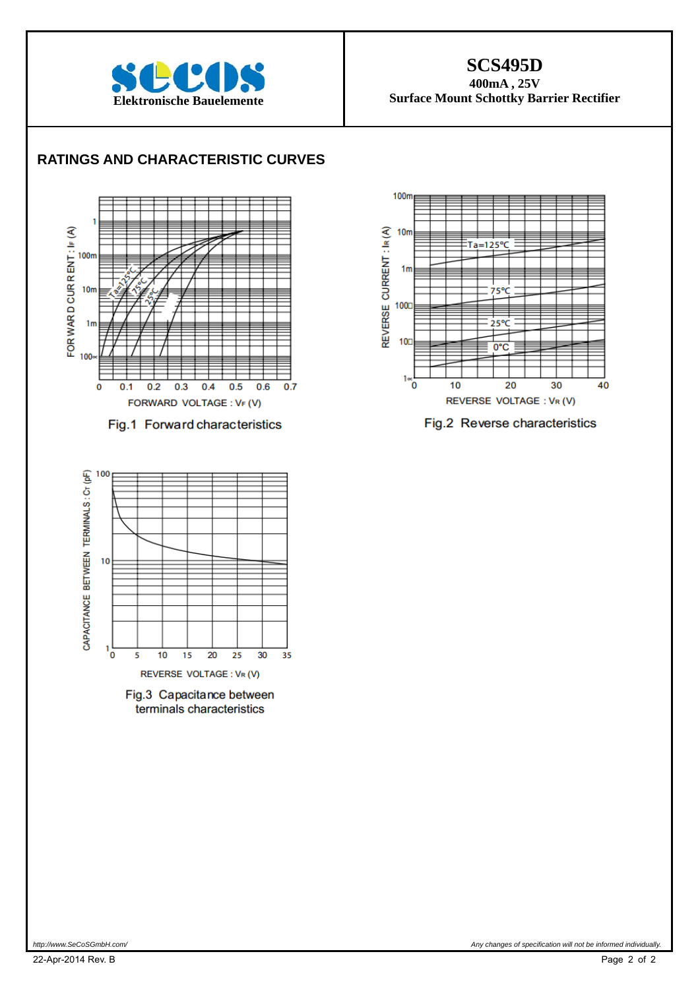

### **SCS495D**

**400mA , 25V Surface Mount Schottky Barrier Rectifier** 

### **RATINGS AND CHARACTERISTIC CURVES**



Fig.1 Forward characteristics



Fig.2 Reverse characteristics



Fig.3 Capacitance between terminals characteristics

*http://www.SeCoSGmbH.com/ Any changes of specification will not be informed individually.*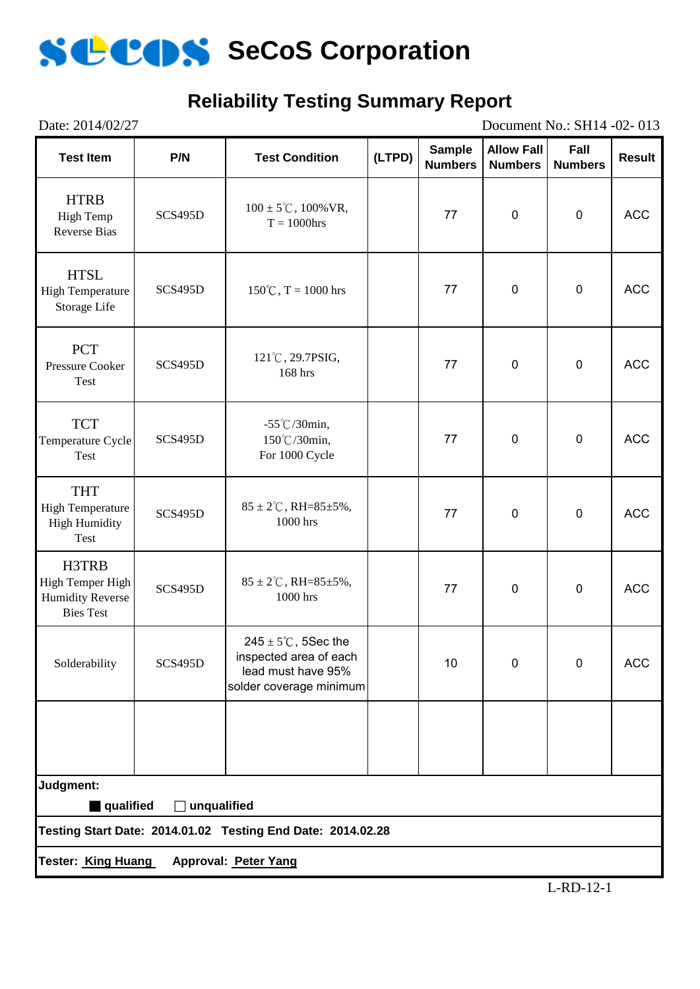# **Reliability Testing Summary Report**

| Date: 2014/02/27<br>Document No.: SH14 -02-013                           |                                                                                                                       |                                                             |        |                                 |                                     |                        |               |
|--------------------------------------------------------------------------|-----------------------------------------------------------------------------------------------------------------------|-------------------------------------------------------------|--------|---------------------------------|-------------------------------------|------------------------|---------------|
| <b>Test Item</b>                                                         | P/N                                                                                                                   | <b>Test Condition</b>                                       | (LTPD) | <b>Sample</b><br><b>Numbers</b> | <b>Allow Fall</b><br><b>Numbers</b> | Fall<br><b>Numbers</b> | <b>Result</b> |
| <b>HTRB</b><br>High Temp<br><b>Reverse Bias</b>                          | SCS495D                                                                                                               | $100 \pm 5^{\circ}$ C, $100\%$ VR,<br>$T = 1000$ hrs        |        | 77                              | $\pmb{0}$                           | $\mathbf 0$            | <b>ACC</b>    |
| <b>HTSL</b><br><b>High Temperature</b><br>Storage Life                   | SCS495D                                                                                                               | $150^{\circ}$ C, T = 1000 hrs                               |        | 77                              | $\mathbf 0$                         | $\pmb{0}$              | <b>ACC</b>    |
| <b>PCT</b><br><b>Pressure Cooker</b><br>Test                             | SCS495D                                                                                                               | 121°C, 29.7PSIG,<br>168 hrs                                 |        | 77                              | $\mathbf 0$                         | $\mathbf 0$            | <b>ACC</b>    |
| <b>TCT</b><br>Temperature Cycle<br>Test                                  | <b>SCS495D</b>                                                                                                        | $-55^{\circ}$ C/30min,<br>150°C/30min,<br>For 1000 Cycle    |        | 77                              | $\pmb{0}$                           | $\pmb{0}$              | <b>ACC</b>    |
| <b>THT</b><br><b>High Temperature</b><br><b>High Humidity</b><br>Test    | <b>SCS495D</b>                                                                                                        | $85 \pm 2^{\circ}$ C, RH= $85 \pm 5\%$ ,<br>1000 hrs        |        | 77                              | $\mathbf 0$                         | $\pmb{0}$              | <b>ACC</b>    |
| H3TRB<br>High Temper High<br><b>Humidity Reverse</b><br><b>Bies Test</b> | SCS495D                                                                                                               | $85 \pm 2^{\circ}$ C, RH= $85 \pm 5\%$ ,<br>1000 hrs        |        | 77                              | $\pmb{0}$                           | $\mathbf 0$            | <b>ACC</b>    |
| Solderability                                                            | $245 \pm 5^{\circ}$ C, 5Sec the<br>inspected area of each<br>SCS495D<br>lead must have 95%<br>solder coverage minimum |                                                             |        | 10                              | $\mathbf 0$                         | $\mathbf 0$            | <b>ACC</b>    |
|                                                                          |                                                                                                                       |                                                             |        |                                 |                                     |                        |               |
| Judgment:                                                                |                                                                                                                       |                                                             |        |                                 |                                     |                        |               |
| qualified                                                                | $\Box$ unqualified                                                                                                    | Testing Start Date: 2014.01.02 Testing End Date: 2014.02.28 |        |                                 |                                     |                        |               |
| Tester: King Huang                                                       |                                                                                                                       | Approval: Peter Yang                                        |        |                                 |                                     |                        |               |
|                                                                          |                                                                                                                       |                                                             |        |                                 |                                     |                        |               |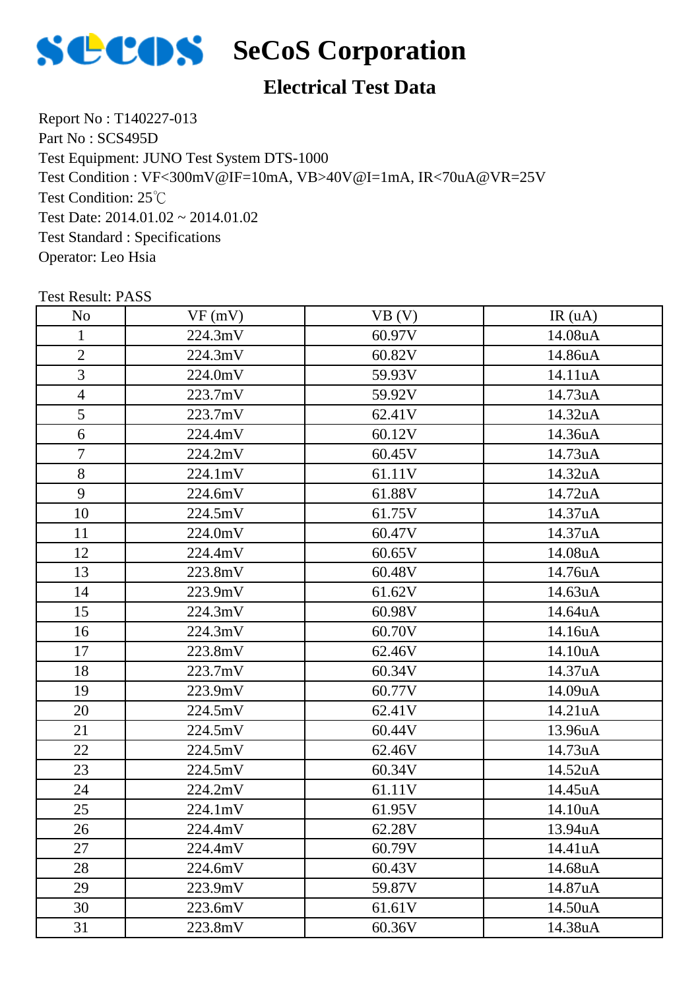

### **Electrical Test Data**

Report No : T140227-013 Part No : SCS495D Test Equipment: JUNO Test System DTS-1000 Test Condition: 25℃ Test Date: 2014.01.02 ~ 2014.01.02 Test Standard : Specifications Operator: Leo Hsia Test Condition : VF<300mV@IF=10mA, VB>40V@I=1mA, IR<70uA@VR=25V

| N <sub>o</sub> | VF(mV)  | VB(V)  | IR(uA)  |
|----------------|---------|--------|---------|
| $\mathbf{1}$   | 224.3mV | 60.97V | 14.08uA |
| $\overline{2}$ | 224.3mV | 60.82V | 14.86uA |
| 3              | 224.0mV | 59.93V | 14.11uA |
| $\overline{4}$ | 223.7mV | 59.92V | 14.73uA |
| 5              | 223.7mV | 62.41V | 14.32uA |
| 6              | 224.4mV | 60.12V | 14.36uA |
| $\overline{7}$ | 224.2mV | 60.45V | 14.73uA |
| 8              | 224.1mV | 61.11V | 14.32uA |
| 9              | 224.6mV | 61.88V | 14.72uA |
| 10             | 224.5mV | 61.75V | 14.37uA |
| 11             | 224.0mV | 60.47V | 14.37uA |
| 12             | 224.4mV | 60.65V | 14.08uA |
| 13             | 223.8mV | 60.48V | 14.76uA |
| 14             | 223.9mV | 61.62V | 14.63uA |
| 15             | 224.3mV | 60.98V | 14.64uA |
| 16             | 224.3mV | 60.70V | 14.16uA |
| 17             | 223.8mV | 62.46V | 14.10uA |
| 18             | 223.7mV | 60.34V | 14.37uA |
| 19             | 223.9mV | 60.77V | 14.09uA |
| 20             | 224.5mV | 62.41V | 14.21uA |
| 21             | 224.5mV | 60.44V | 13.96uA |
| 22             | 224.5mV | 62.46V | 14.73uA |
| 23             | 224.5mV | 60.34V | 14.52uA |
| 24             | 224.2mV | 61.11V | 14.45uA |
| 25             | 224.1mV | 61.95V | 14.10uA |
| 26             | 224.4mV | 62.28V | 13.94uA |
| 27             | 224.4mV | 60.79V | 14.41uA |
| 28             | 224.6mV | 60.43V | 14.68uA |
| 29             | 223.9mV | 59.87V | 14.87uA |
| 30             | 223.6mV | 61.61V | 14.50uA |
| 31             | 223.8mV | 60.36V | 14.38uA |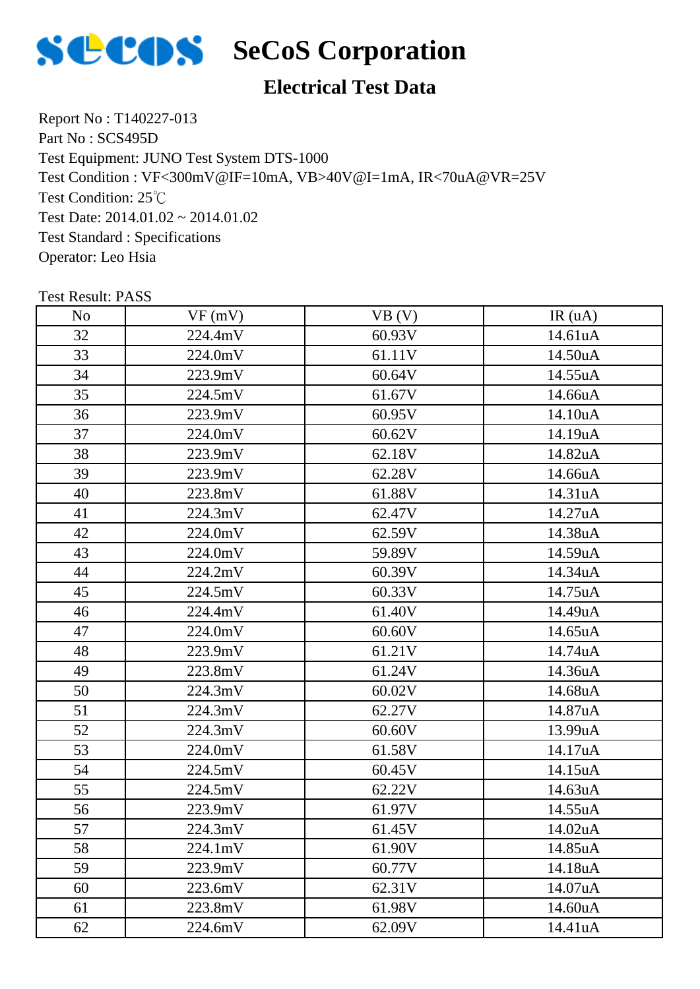

### **Electrical Test Data**

Report No : T140227-013 Part No : SCS495D Test Equipment: JUNO Test System DTS-1000 Test Condition: 25℃ Test Date: 2014.01.02 ~ 2014.01.02 Test Standard : Specifications Operator: Leo Hsia Test Condition : VF<300mV@IF=10mA, VB>40V@I=1mA, IR<70uA@VR=25V

| N <sub>o</sub> | VF(mV)  | VB (V) | IR(uA)  |
|----------------|---------|--------|---------|
| 32             | 224.4mV | 60.93V | 14.61uA |
| 33             | 224.0mV | 61.11V | 14.50uA |
| 34             | 223.9mV | 60.64V | 14.55uA |
| 35             | 224.5mV | 61.67V | 14.66uA |
| 36             | 223.9mV | 60.95V | 14.10uA |
| 37             | 224.0mV | 60.62V | 14.19uA |
| 38             | 223.9mV | 62.18V | 14.82uA |
| 39             | 223.9mV | 62.28V | 14.66uA |
| 40             | 223.8mV | 61.88V | 14.31uA |
| 41             | 224.3mV | 62.47V | 14.27uA |
| 42             | 224.0mV | 62.59V | 14.38uA |
| 43             | 224.0mV | 59.89V | 14.59uA |
| 44             | 224.2mV | 60.39V | 14.34uA |
| 45             | 224.5mV | 60.33V | 14.75uA |
| 46             | 224.4mV | 61.40V | 14.49uA |
| 47             | 224.0mV | 60.60V | 14.65uA |
| 48             | 223.9mV | 61.21V | 14.74uA |
| 49             | 223.8mV | 61.24V | 14.36uA |
| 50             | 224.3mV | 60.02V | 14.68uA |
| 51             | 224.3mV | 62.27V | 14.87uA |
| 52             | 224.3mV | 60.60V | 13.99uA |
| 53             | 224.0mV | 61.58V | 14.17uA |
| 54             | 224.5mV | 60.45V | 14.15uA |
| 55             | 224.5mV | 62.22V | 14.63uA |
| 56             | 223.9mV | 61.97V | 14.55uA |
| 57             | 224.3mV | 61.45V | 14.02uA |
| 58             | 224.1mV | 61.90V | 14.85uA |
| 59             | 223.9mV | 60.77V | 14.18uA |
| 60             | 223.6mV | 62.31V | 14.07uA |
| 61             | 223.8mV | 61.98V | 14.60uA |
| 62             | 224.6mV | 62.09V | 14.41uA |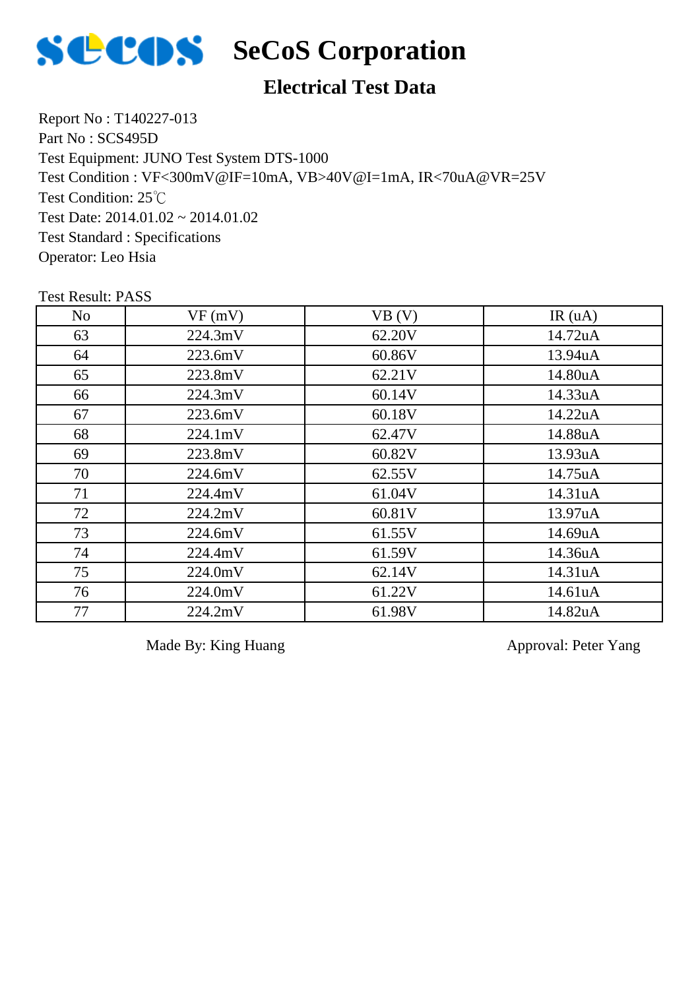

### **Electrical Test Data**

Report No : T140227-013 Part No : SCS495D Test Equipment: JUNO Test System DTS-1000 Test Condition: 25℃ Test Date: 2014.01.02 ~ 2014.01.02 Test Standard : Specifications Operator: Leo Hsia Test Condition : VF<300mV@IF=10mA, VB>40V@I=1mA, IR<70uA@VR=25V

Test Result: PASS

| N <sub>o</sub> | VF(mV)  | VB (V) | IR(uA)  |
|----------------|---------|--------|---------|
| 63             | 224.3mV | 62.20V | 14.72uA |
| 64             | 223.6mV | 60.86V | 13.94uA |
| 65             | 223.8mV | 62.21V | 14.80uA |
| 66             | 224.3mV | 60.14V | 14.33uA |
| 67             | 223.6mV | 60.18V | 14.22uA |
| 68             | 224.1mV | 62.47V | 14.88uA |
| 69             | 223.8mV | 60.82V | 13.93uA |
| 70             | 224.6mV | 62.55V | 14.75uA |
| 71             | 224.4mV | 61.04V | 14.31uA |
| 72             | 224.2mV | 60.81V | 13.97uA |
| 73             | 224.6mV | 61.55V | 14.69uA |
| 74             | 224.4mV | 61.59V | 14.36uA |
| 75             | 224.0mV | 62.14V | 14.31uA |
| 76             | 224.0mV | 61.22V | 14.61uA |
| 77             | 224.2mV | 61.98V | 14.82uA |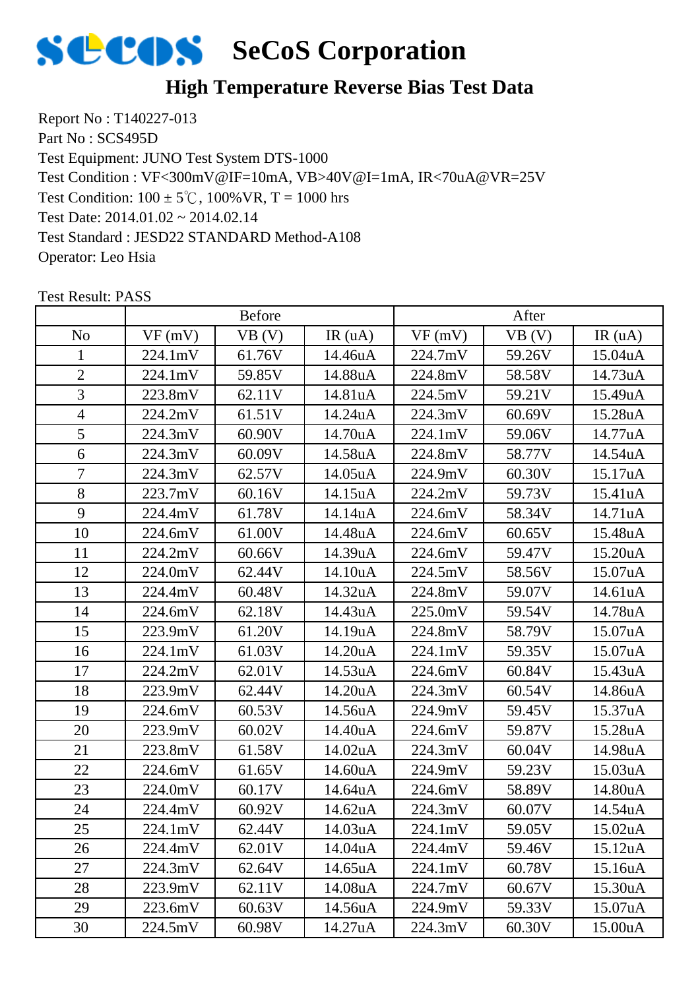

### **High Temperature Reverse Bias Test Data**

Report No : T140227-013 Part No : SCS495D Test Equipment: JUNO Test System DTS-1000 Test Condition:  $100 \pm 5^{\circ}$ C,  $100\%$  VR, T = 1000 hrs Test Date: 2014.01.02 ~ 2014.02.14 Test Standard : JESD22 STANDARD Method-A108 Operator: Leo Hsia Test Condition : VF<300mV@IF=10mA, VB>40V@I=1mA, IR<70uA@VR=25V

|                | <b>Before</b> |        |         | After   |        |         |
|----------------|---------------|--------|---------|---------|--------|---------|
| N <sub>0</sub> | VF(mV)        | VB (V) | IR(uA)  | VF(mV)  | VB (V) | IR(uA)  |
| 1              | 224.1mV       | 61.76V | 14.46uA | 224.7mV | 59.26V | 15.04uA |
| $\overline{2}$ | 224.1mV       | 59.85V | 14.88uA | 224.8mV | 58.58V | 14.73uA |
| 3              | 223.8mV       | 62.11V | 14.81uA | 224.5mV | 59.21V | 15.49uA |
| $\overline{4}$ | 224.2mV       | 61.51V | 14.24uA | 224.3mV | 60.69V | 15.28uA |
| 5              | 224.3mV       | 60.90V | 14.70uA | 224.1mV | 59.06V | 14.77uA |
| 6              | 224.3mV       | 60.09V | 14.58uA | 224.8mV | 58.77V | 14.54uA |
| $\overline{7}$ | 224.3mV       | 62.57V | 14.05uA | 224.9mV | 60.30V | 15.17uA |
| 8              | 223.7mV       | 60.16V | 14.15uA | 224.2mV | 59.73V | 15.41uA |
| 9              | 224.4mV       | 61.78V | 14.14uA | 224.6mV | 58.34V | 14.71uA |
| 10             | 224.6mV       | 61.00V | 14.48uA | 224.6mV | 60.65V | 15.48uA |
| 11             | 224.2mV       | 60.66V | 14.39uA | 224.6mV | 59.47V | 15.20uA |
| 12             | 224.0mV       | 62.44V | 14.10uA | 224.5mV | 58.56V | 15.07uA |
| 13             | 224.4mV       | 60.48V | 14.32uA | 224.8mV | 59.07V | 14.61uA |
| 14             | 224.6mV       | 62.18V | 14.43uA | 225.0mV | 59.54V | 14.78uA |
| 15             | 223.9mV       | 61.20V | 14.19uA | 224.8mV | 58.79V | 15.07uA |
| 16             | 224.1mV       | 61.03V | 14.20uA | 224.1mV | 59.35V | 15.07uA |
| 17             | 224.2mV       | 62.01V | 14.53uA | 224.6mV | 60.84V | 15.43uA |
| 18             | 223.9mV       | 62.44V | 14.20uA | 224.3mV | 60.54V | 14.86uA |
| 19             | 224.6mV       | 60.53V | 14.56uA | 224.9mV | 59.45V | 15.37uA |
| 20             | 223.9mV       | 60.02V | 14.40uA | 224.6mV | 59.87V | 15.28uA |
| 21             | 223.8mV       | 61.58V | 14.02uA | 224.3mV | 60.04V | 14.98uA |
| 22             | 224.6mV       | 61.65V | 14.60uA | 224.9mV | 59.23V | 15.03uA |
| 23             | 224.0mV       | 60.17V | 14.64uA | 224.6mV | 58.89V | 14.80uA |
| 24             | 224.4mV       | 60.92V | 14.62uA | 224.3mV | 60.07V | 14.54uA |
| 25             | 224.1mV       | 62.44V | 14.03uA | 224.1mV | 59.05V | 15.02uA |
| 26             | 224.4mV       | 62.01V | 14.04uA | 224.4mV | 59.46V | 15.12uA |
| 27             | 224.3mV       | 62.64V | 14.65uA | 224.1mV | 60.78V | 15.16uA |
| 28             | 223.9mV       | 62.11V | 14.08uA | 224.7mV | 60.67V | 15.30uA |
| 29             | 223.6mV       | 60.63V | 14.56uA | 224.9mV | 59.33V | 15.07uA |
| 30             | 224.5mV       | 60.98V | 14.27uA | 224.3mV | 60.30V | 15.00uA |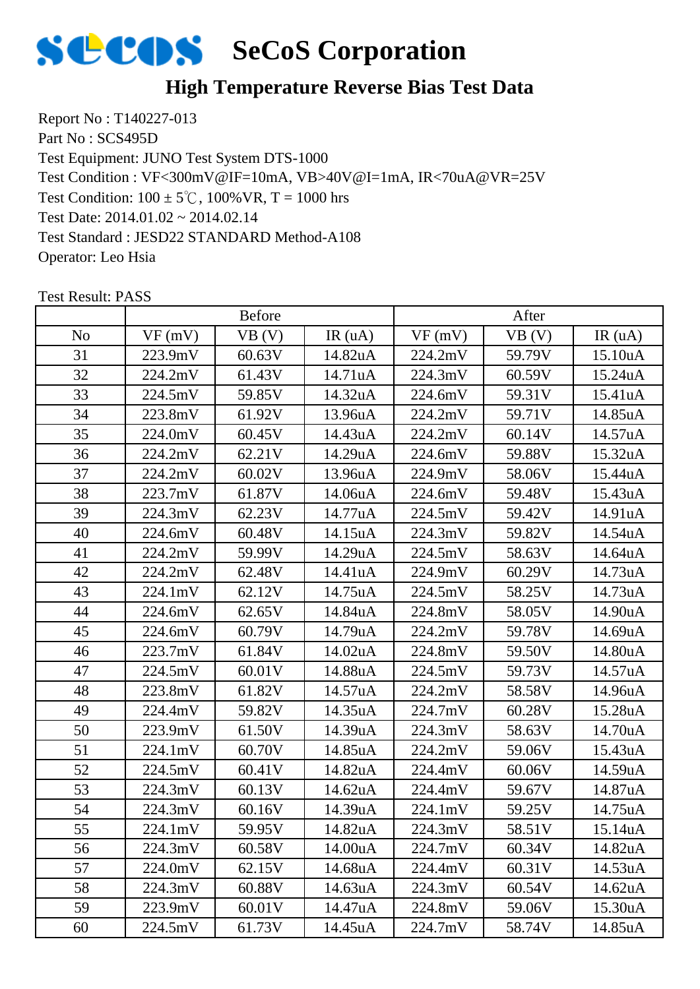

### **High Temperature Reverse Bias Test Data**

Report No : T140227-013 Part No : SCS495D Test Equipment: JUNO Test System DTS-1000 Test Condition:  $100 \pm 5^{\circ}$ C,  $100\%$  VR, T = 1000 hrs Test Date: 2014.01.02 ~ 2014.02.14 Test Standard : JESD22 STANDARD Method-A108 Operator: Leo Hsia Test Condition : VF<300mV@IF=10mA, VB>40V@I=1mA, IR<70uA@VR=25V

|                | <b>Before</b> |        |         | After   |        |         |
|----------------|---------------|--------|---------|---------|--------|---------|
| N <sub>o</sub> | VF(mV)        | VB (V) | IR(uA)  | VF(mV)  | VB (V) | IR(uA)  |
| 31             | 223.9mV       | 60.63V | 14.82uA | 224.2mV | 59.79V | 15.10uA |
| 32             | 224.2mV       | 61.43V | 14.71uA | 224.3mV | 60.59V | 15.24uA |
| 33             | 224.5mV       | 59.85V | 14.32uA | 224.6mV | 59.31V | 15.41uA |
| 34             | 223.8mV       | 61.92V | 13.96uA | 224.2mV | 59.71V | 14.85uA |
| 35             | 224.0mV       | 60.45V | 14.43uA | 224.2mV | 60.14V | 14.57uA |
| 36             | 224.2mV       | 62.21V | 14.29uA | 224.6mV | 59.88V | 15.32uA |
| 37             | 224.2mV       | 60.02V | 13.96uA | 224.9mV | 58.06V | 15.44uA |
| 38             | 223.7mV       | 61.87V | 14.06uA | 224.6mV | 59.48V | 15.43uA |
| 39             | 224.3mV       | 62.23V | 14.77uA | 224.5mV | 59.42V | 14.91uA |
| 40             | 224.6mV       | 60.48V | 14.15uA | 224.3mV | 59.82V | 14.54uA |
| 41             | 224.2mV       | 59.99V | 14.29uA | 224.5mV | 58.63V | 14.64uA |
| 42             | 224.2mV       | 62.48V | 14.41uA | 224.9mV | 60.29V | 14.73uA |
| 43             | 224.1mV       | 62.12V | 14.75uA | 224.5mV | 58.25V | 14.73uA |
| 44             | 224.6mV       | 62.65V | 14.84uA | 224.8mV | 58.05V | 14.90uA |
| 45             | 224.6mV       | 60.79V | 14.79uA | 224.2mV | 59.78V | 14.69uA |
| 46             | 223.7mV       | 61.84V | 14.02uA | 224.8mV | 59.50V | 14.80uA |
| 47             | 224.5mV       | 60.01V | 14.88uA | 224.5mV | 59.73V | 14.57uA |
| 48             | 223.8mV       | 61.82V | 14.57uA | 224.2mV | 58.58V | 14.96uA |
| 49             | 224.4mV       | 59.82V | 14.35uA | 224.7mV | 60.28V | 15.28uA |
| 50             | 223.9mV       | 61.50V | 14.39uA | 224.3mV | 58.63V | 14.70uA |
| 51             | 224.1mV       | 60.70V | 14.85uA | 224.2mV | 59.06V | 15.43uA |
| 52             | 224.5mV       | 60.41V | 14.82uA | 224.4mV | 60.06V | 14.59uA |
| 53             | 224.3mV       | 60.13V | 14.62uA | 224.4mV | 59.67V | 14.87uA |
| 54             | 224.3mV       | 60.16V | 14.39uA | 224.1mV | 59.25V | 14.75uA |
| 55             | 224.1mV       | 59.95V | 14.82uA | 224.3mV | 58.51V | 15.14uA |
| 56             | 224.3mV       | 60.58V | 14.00uA | 224.7mV | 60.34V | 14.82uA |
| 57             | 224.0mV       | 62.15V | 14.68uA | 224.4mV | 60.31V | 14.53uA |
| 58             | 224.3mV       | 60.88V | 14.63uA | 224.3mV | 60.54V | 14.62uA |
| 59             | 223.9mV       | 60.01V | 14.47uA | 224.8mV | 59.06V | 15.30uA |
| 60             | 224.5mV       | 61.73V | 14.45uA | 224.7mV | 58.74V | 14.85uA |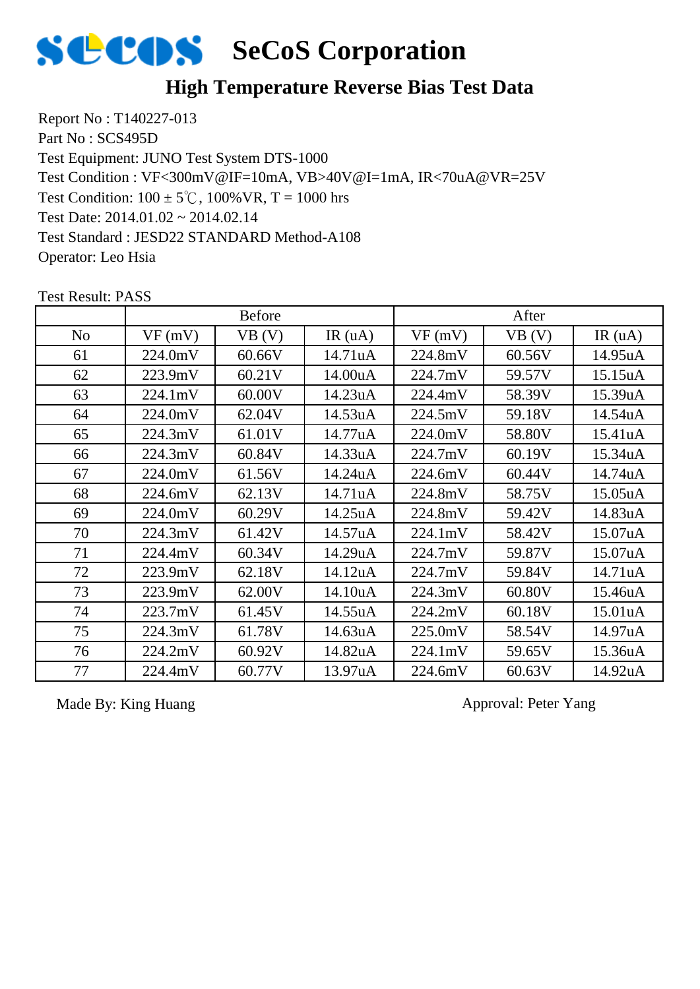

### **High Temperature Reverse Bias Test Data**

Report No : T140227-013 Part No : SCS495D Test Equipment: JUNO Test System DTS-1000 Test Condition:  $100 \pm 5^{\circ}$ C,  $100\%$  VR, T = 1000 hrs Test Date: 2014.01.02 ~ 2014.02.14 Test Standard : JESD22 STANDARD Method-A108 Operator: Leo Hsia Test Condition : VF<300mV@IF=10mA, VB>40V@I=1mA, IR<70uA@VR=25V

No |  $VF(mV)$  |  $VB(V)$  |  $IR(uA)$  |  $VF(mV)$  |  $VB(V)$  |  $IR(uA)$ Before After 61 | 224.0mV | 60.66V | 14.71uA | 224.8mV | 60.56V | 14.95uA 62 | 223.9mV | 60.21V | 14.00uA | 224.7mV | 59.57V | 15.15uA 63 224.1mV 60.00V 14.23uA 224.4mV 58.39V 15.39uA 64 224.0mV 62.04V 14.53uA 224.5mV 59.18V 14.54uA 65 224.3mV 61.01V 14.77uA 224.0mV 58.80V 15.41uA 66 224.3mV 60.84V 14.33uA 224.7mV 60.19V 15.34uA 67 | 224.0mV | 61.56V | 14.24uA | 224.6mV | 60.44V | 14.74uA 68 224.6mV 62.13V 14.71uA 224.8mV 58.75V 15.05uA 69 224.0mV 60.29V 14.25uA 224.8mV 59.42V 14.83uA 70 | 224.3mV | 61.42V | 14.57uA | 224.1mV | 58.42V | 15.07uA 71 224.4mV 60.34V 14.29uA 224.7mV 59.87V 15.07uA 72 223.9mV 62.18V 14.12uA 224.7mV 59.84V 14.71uA 73 223.9mV 62.00V 14.10uA 224.3mV 60.80V 15.46uA 74 | 223.7mV | 61.45V | 14.55uA | 224.2mV | 60.18V | 15.01uA 75 224.3mV 61.78V 14.63uA 225.0mV 58.54V 14.97uA 76 224.2mV 60.92V 14.82uA 224.1mV 59.65V 15.36uA 77 224.4mV 60.77V 13.97uA 224.6mV 60.63V 14.92uA

Test Result: PASS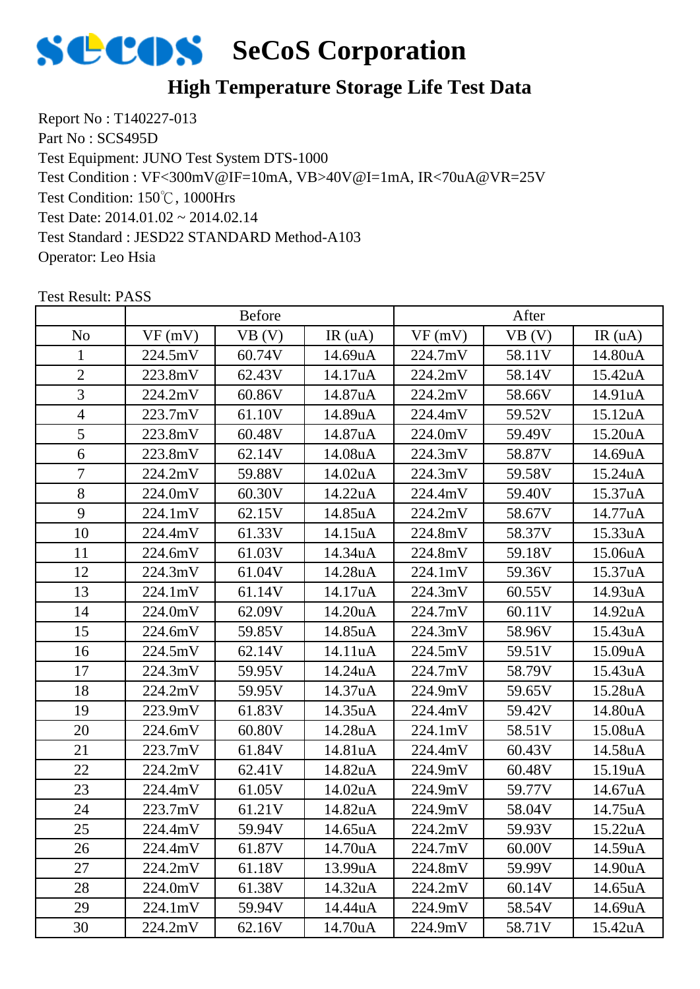

### **High Temperature Storage Life Test Data**

Report No : T140227-013 Part No : SCS495D Test Equipment: JUNO Test System DTS-1000 Test Condition: 150℃, 1000Hrs Test Date: 2014.01.02 ~ 2014.02.14 Test Standard : JESD22 STANDARD Method-A103 Operator: Leo Hsia Test Condition : VF<300mV@IF=10mA, VB>40V@I=1mA, IR<70uA@VR=25V

|                | <b>Before</b> |        |                      | After   |        |         |
|----------------|---------------|--------|----------------------|---------|--------|---------|
| N <sub>o</sub> | VF(mV)        | VB (V) | IR(uA)               | VF(mV)  | VB(V)  | IR(uA)  |
| 1              | 224.5mV       | 60.74V | 14.69uA              | 224.7mV | 58.11V | 14.80uA |
| $\overline{2}$ | 223.8mV       | 62.43V | 14.17uA              | 224.2mV | 58.14V | 15.42uA |
| 3              | 224.2mV       | 60.86V | 14.87uA              | 224.2mV | 58.66V | 14.91uA |
| $\overline{4}$ | 223.7mV       | 61.10V | 14.89uA              | 224.4mV | 59.52V | 15.12uA |
| 5              | 223.8mV       | 60.48V | 14.87uA              | 224.0mV | 59.49V | 15.20uA |
| 6              | 223.8mV       | 62.14V | 14.08uA              | 224.3mV | 58.87V | 14.69uA |
| 7              | 224.2mV       | 59.88V | 14.02uA              | 224.3mV | 59.58V | 15.24uA |
| 8              | 224.0mV       | 60.30V | 14.22uA              | 224.4mV | 59.40V | 15.37uA |
| 9              | 224.1mV       | 62.15V | 14.85uA              | 224.2mV | 58.67V | 14.77uA |
| 10             | 224.4mV       | 61.33V | 14.15uA              | 224.8mV | 58.37V | 15.33uA |
| 11             | 224.6mV       | 61.03V | 14.34uA              | 224.8mV | 59.18V | 15.06uA |
| 12             | 224.3mV       | 61.04V | 14.28uA              | 224.1mV | 59.36V | 15.37uA |
| 13             | 224.1mV       | 61.14V | 14.17uA              | 224.3mV | 60.55V | 14.93uA |
| 14             | 224.0mV       | 62.09V | 14.20uA              | 224.7mV | 60.11V | 14.92uA |
| 15             | 224.6mV       | 59.85V | 14.85uA              | 224.3mV | 58.96V | 15.43uA |
| 16             | 224.5mV       | 62.14V | 14.11 <sub>u</sub> A | 224.5mV | 59.51V | 15.09uA |
| 17             | 224.3mV       | 59.95V | 14.24uA              | 224.7mV | 58.79V | 15.43uA |
| 18             | 224.2mV       | 59.95V | 14.37uA              | 224.9mV | 59.65V | 15.28uA |
| 19             | 223.9mV       | 61.83V | 14.35uA              | 224.4mV | 59.42V | 14.80uA |
| 20             | 224.6mV       | 60.80V | 14.28uA              | 224.1mV | 58.51V | 15.08uA |
| 21             | 223.7mV       | 61.84V | 14.81uA              | 224.4mV | 60.43V | 14.58uA |
| 22             | 224.2mV       | 62.41V | 14.82uA              | 224.9mV | 60.48V | 15.19uA |
| 23             | 224.4mV       | 61.05V | 14.02uA              | 224.9mV | 59.77V | 14.67uA |
| 24             | 223.7mV       | 61.21V | 14.82uA              | 224.9mV | 58.04V | 14.75uA |
| 25             | 224.4mV       | 59.94V | 14.65uA              | 224.2mV | 59.93V | 15.22uA |
| 26             | 224.4mV       | 61.87V | 14.70uA              | 224.7mV | 60.00V | 14.59uA |
| 27             | 224.2mV       | 61.18V | 13.99uA              | 224.8mV | 59.99V | 14.90uA |
| 28             | 224.0mV       | 61.38V | 14.32uA              | 224.2mV | 60.14V | 14.65uA |
| 29             | 224.1mV       | 59.94V | 14.44uA              | 224.9mV | 58.54V | 14.69uA |
| 30             | 224.2mV       | 62.16V | 14.70uA              | 224.9mV | 58.71V | 15.42uA |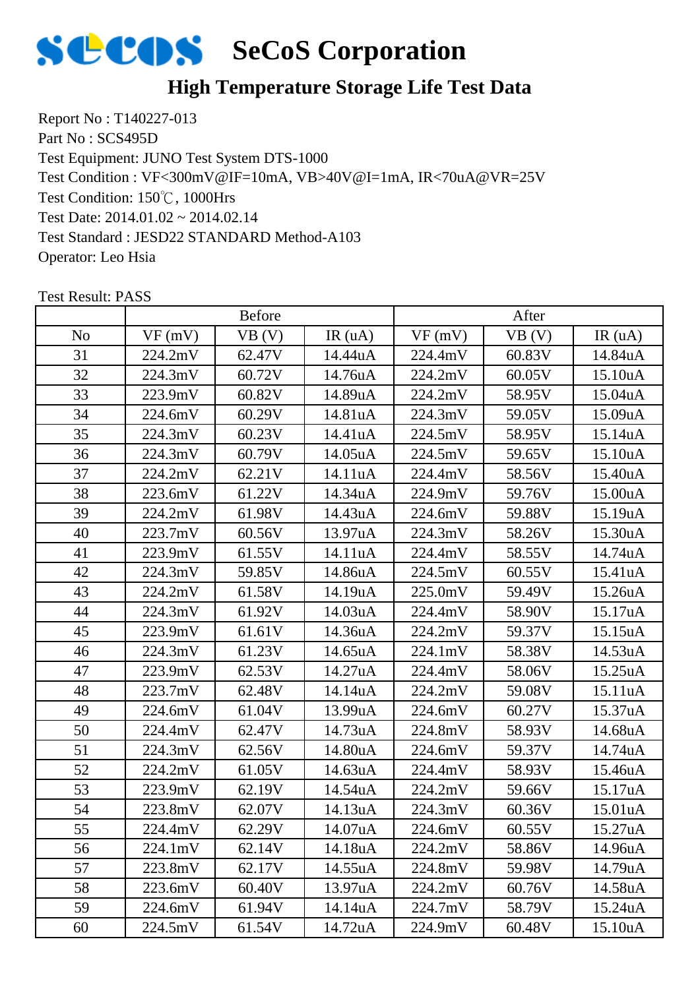

### **High Temperature Storage Life Test Data**

Report No : T140227-013 Part No : SCS495D Test Equipment: JUNO Test System DTS-1000 Test Condition: 150℃, 1000Hrs Test Date: 2014.01.02 ~ 2014.02.14 Test Standard : JESD22 STANDARD Method-A103 Operator: Leo Hsia Test Condition : VF<300mV@IF=10mA, VB>40V@I=1mA, IR<70uA@VR=25V

|                | <b>Before</b> |        |         | After   |        |         |
|----------------|---------------|--------|---------|---------|--------|---------|
| N <sub>0</sub> | VF(mV)        | VB(V)  | IR(uA)  | VF(mV)  | VB(V)  | IR(uA)  |
| 31             | 224.2mV       | 62.47V | 14.44uA | 224.4mV | 60.83V | 14.84uA |
| 32             | 224.3mV       | 60.72V | 14.76uA | 224.2mV | 60.05V | 15.10uA |
| 33             | 223.9mV       | 60.82V | 14.89uA | 224.2mV | 58.95V | 15.04uA |
| 34             | 224.6mV       | 60.29V | 14.81uA | 224.3mV | 59.05V | 15.09uA |
| 35             | 224.3mV       | 60.23V | 14.41uA | 224.5mV | 58.95V | 15.14uA |
| 36             | 224.3mV       | 60.79V | 14.05uA | 224.5mV | 59.65V | 15.10uA |
| 37             | 224.2mV       | 62.21V | 14.11uA | 224.4mV | 58.56V | 15.40uA |
| 38             | 223.6mV       | 61.22V | 14.34uA | 224.9mV | 59.76V | 15.00uA |
| 39             | 224.2mV       | 61.98V | 14.43uA | 224.6mV | 59.88V | 15.19uA |
| 40             | 223.7mV       | 60.56V | 13.97uA | 224.3mV | 58.26V | 15.30uA |
| 41             | 223.9mV       | 61.55V | 14.11uA | 224.4mV | 58.55V | 14.74uA |
| 42             | 224.3mV       | 59.85V | 14.86uA | 224.5mV | 60.55V | 15.41uA |
| 43             | 224.2mV       | 61.58V | 14.19uA | 225.0mV | 59.49V | 15.26uA |
| 44             | 224.3mV       | 61.92V | 14.03uA | 224.4mV | 58.90V | 15.17uA |
| 45             | 223.9mV       | 61.61V | 14.36uA | 224.2mV | 59.37V | 15.15uA |
| 46             | 224.3mV       | 61.23V | 14.65uA | 224.1mV | 58.38V | 14.53uA |
| 47             | 223.9mV       | 62.53V | 14.27uA | 224.4mV | 58.06V | 15.25uA |
| 48             | 223.7mV       | 62.48V | 14.14uA | 224.2mV | 59.08V | 15.11uA |
| 49             | 224.6mV       | 61.04V | 13.99uA | 224.6mV | 60.27V | 15.37uA |
| 50             | 224.4mV       | 62.47V | 14.73uA | 224.8mV | 58.93V | 14.68uA |
| 51             | 224.3mV       | 62.56V | 14.80uA | 224.6mV | 59.37V | 14.74uA |
| 52             | 224.2mV       | 61.05V | 14.63uA | 224.4mV | 58.93V | 15.46uA |
| 53             | 223.9mV       | 62.19V | 14.54uA | 224.2mV | 59.66V | 15.17uA |
| 54             | 223.8mV       | 62.07V | 14.13uA | 224.3mV | 60.36V | 15.01uA |
| 55             | 224.4mV       | 62.29V | 14.07uA | 224.6mV | 60.55V | 15.27uA |
| 56             | 224.1mV       | 62.14V | 14.18uA | 224.2mV | 58.86V | 14.96uA |
| 57             | 223.8mV       | 62.17V | 14.55uA | 224.8mV | 59.98V | 14.79uA |
| 58             | 223.6mV       | 60.40V | 13.97uA | 224.2mV | 60.76V | 14.58uA |
| 59             | 224.6mV       | 61.94V | 14.14uA | 224.7mV | 58.79V | 15.24uA |
| 60             | 224.5mV       | 61.54V | 14.72uA | 224.9mV | 60.48V | 15.10uA |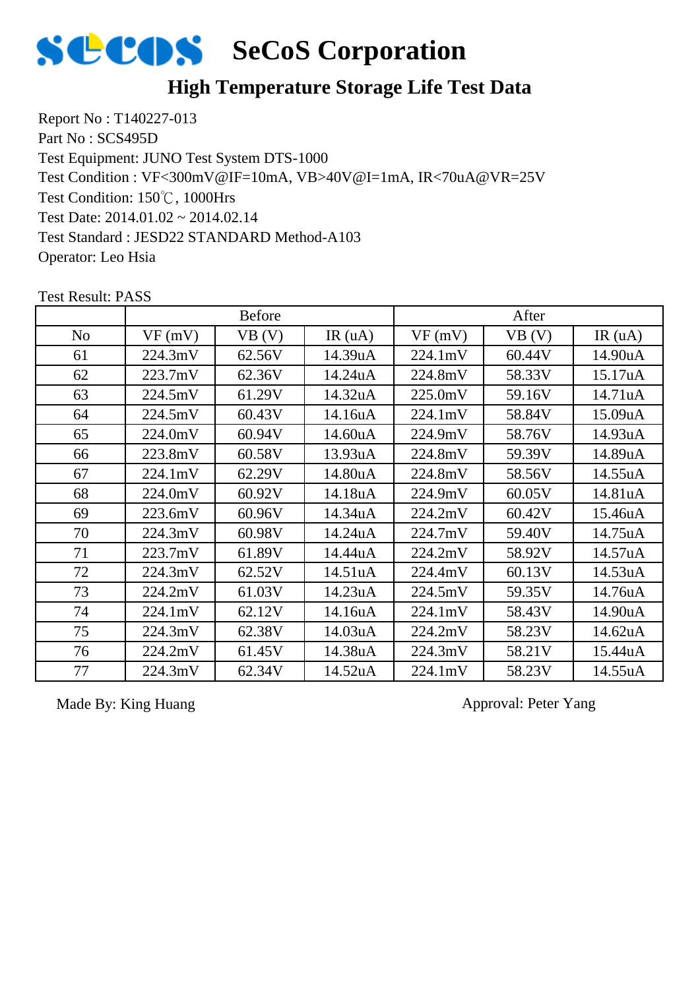

### **High Temperature Storage Life Test Data**

Report No : T140227-013 Part No : SCS495D Test Equipment: JUNO Test System DTS-1000 Test Condition: 150℃, 1000Hrs Test Date: 2014.01.02 ~ 2014.02.14 Test Standard : JESD22 STANDARD Method-A103 Operator: Leo Hsia Test Condition : VF<300mV@IF=10mA, VB>40V@I=1mA, IR<70uA@VR=25V

|                | <b>Before</b> |        |                      | After   |        |         |
|----------------|---------------|--------|----------------------|---------|--------|---------|
| N <sub>0</sub> | VF(mV)        | VB(V)  | IR $(uA)$            | VF(mV)  | VB (V) | IR(uA)  |
| 61             | 224.3mV       | 62.56V | 14.39uA              | 224.1mV | 60.44V | 14.90uA |
| 62             | 223.7mV       | 62.36V | 14.24uA              | 224.8mV | 58.33V | 15.17uA |
| 63             | 224.5mV       | 61.29V | 14.32uA              | 225.0mV | 59.16V | 14.71uA |
| 64             | 224.5mV       | 60.43V | 14.16uA              | 224.1mV | 58.84V | 15.09uA |
| 65             | 224.0mV       | 60.94V | 14.60uA              | 224.9mV | 58.76V | 14.93uA |
| 66             | 223.8mV       | 60.58V | 13.93uA              | 224.8mV | 59.39V | 14.89uA |
| 67             | 224.1mV       | 62.29V | 14.80uA              | 224.8mV | 58.56V | 14.55uA |
| 68             | 224.0mV       | 60.92V | 14.18uA              | 224.9mV | 60.05V | 14.81uA |
| 69             | 223.6mV       | 60.96V | 14.34uA              | 224.2mV | 60.42V | 15.46uA |
| 70             | 224.3mV       | 60.98V | 14.24uA              | 224.7mV | 59.40V | 14.75uA |
| 71             | 223.7mV       | 61.89V | 14.44uA              | 224.2mV | 58.92V | 14.57uA |
| 72             | 224.3mV       | 62.52V | 14.51 <sub>u</sub> A | 224.4mV | 60.13V | 14.53uA |
| 73             | 224.2mV       | 61.03V | 14.23uA              | 224.5mV | 59.35V | 14.76uA |
| 74             | 224.1mV       | 62.12V | 14.16uA              | 224.1mV | 58.43V | 14.90uA |
| 75             | 224.3mV       | 62.38V | 14.03uA              | 224.2mV | 58.23V | 14.62uA |
| 76             | 224.2mV       | 61.45V | 14.38uA              | 224.3mV | 58.21V | 15.44uA |
| 77             | 224.3mV       | 62.34V | 14.52uA              | 224.1mV | 58.23V | 14.55uA |

Test Result: PASS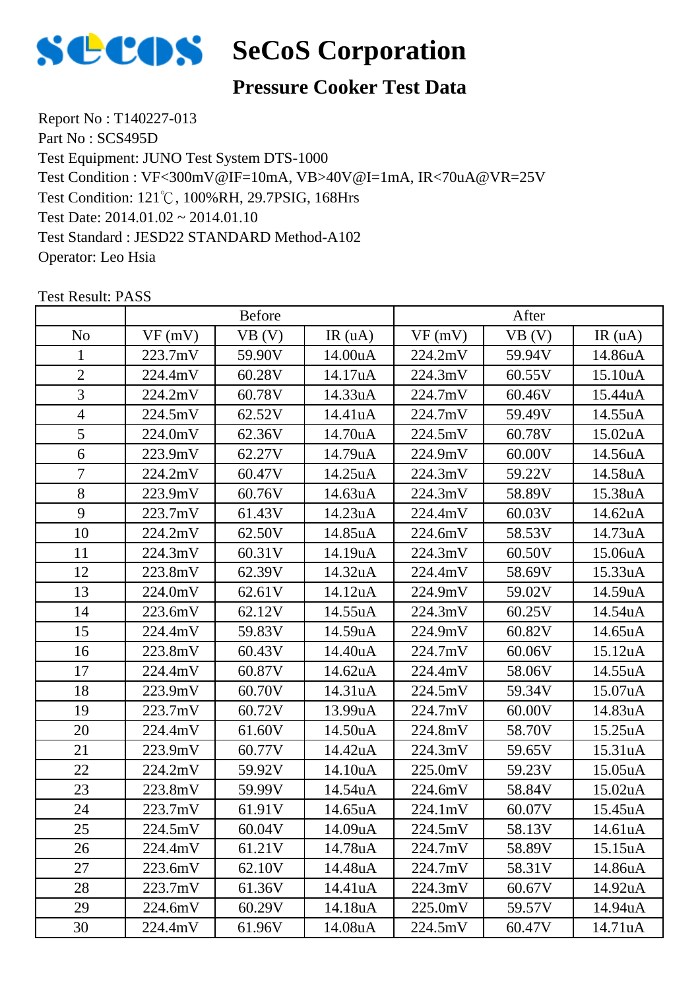

### **Pressure Cooker Test Data**

Report No : T140227-013 Part No : SCS495D Test Equipment: JUNO Test System DTS-1000 Test Condition: 121℃, 100%RH, 29.7PSIG, 168Hrs Test Date: 2014.01.02 ~ 2014.01.10 Test Standard : JESD22 STANDARD Method-A102 Operator: Leo Hsia Test Condition : VF<300mV@IF=10mA, VB>40V@I=1mA, IR<70uA@VR=25V

|                | <b>Before</b> |        |         | After   |        |         |
|----------------|---------------|--------|---------|---------|--------|---------|
| N <sub>o</sub> | VF(mV)        | VB(V)  | IR(uA)  | VF(mV)  | VB (V) | IR(uA)  |
| 1              | 223.7mV       | 59.90V | 14.00uA | 224.2mV | 59.94V | 14.86uA |
| $\overline{2}$ | 224.4mV       | 60.28V | 14.17uA | 224.3mV | 60.55V | 15.10uA |
| 3              | 224.2mV       | 60.78V | 14.33uA | 224.7mV | 60.46V | 15.44uA |
| $\overline{4}$ | 224.5mV       | 62.52V | 14.41uA | 224.7mV | 59.49V | 14.55uA |
| 5              | 224.0mV       | 62.36V | 14.70uA | 224.5mV | 60.78V | 15.02uA |
| 6              | 223.9mV       | 62.27V | 14.79uA | 224.9mV | 60.00V | 14.56uA |
| $\overline{7}$ | 224.2mV       | 60.47V | 14.25uA | 224.3mV | 59.22V | 14.58uA |
| 8              | 223.9mV       | 60.76V | 14.63uA | 224.3mV | 58.89V | 15.38uA |
| 9              | 223.7mV       | 61.43V | 14.23uA | 224.4mV | 60.03V | 14.62uA |
| 10             | 224.2mV       | 62.50V | 14.85uA | 224.6mV | 58.53V | 14.73uA |
| 11             | 224.3mV       | 60.31V | 14.19uA | 224.3mV | 60.50V | 15.06uA |
| 12             | 223.8mV       | 62.39V | 14.32uA | 224.4mV | 58.69V | 15.33uA |
| 13             | 224.0mV       | 62.61V | 14.12uA | 224.9mV | 59.02V | 14.59uA |
| 14             | 223.6mV       | 62.12V | 14.55uA | 224.3mV | 60.25V | 14.54uA |
| 15             | 224.4mV       | 59.83V | 14.59uA | 224.9mV | 60.82V | 14.65uA |
| 16             | 223.8mV       | 60.43V | 14.40uA | 224.7mV | 60.06V | 15.12uA |
| 17             | 224.4mV       | 60.87V | 14.62uA | 224.4mV | 58.06V | 14.55uA |
| 18             | 223.9mV       | 60.70V | 14.31uA | 224.5mV | 59.34V | 15.07uA |
| 19             | 223.7mV       | 60.72V | 13.99uA | 224.7mV | 60.00V | 14.83uA |
| 20             | 224.4mV       | 61.60V | 14.50uA | 224.8mV | 58.70V | 15.25uA |
| 21             | 223.9mV       | 60.77V | 14.42uA | 224.3mV | 59.65V | 15.31uA |
| 22             | 224.2mV       | 59.92V | 14.10uA | 225.0mV | 59.23V | 15.05uA |
| 23             | 223.8mV       | 59.99V | 14.54uA | 224.6mV | 58.84V | 15.02uA |
| 24             | 223.7mV       | 61.91V | 14.65uA | 224.1mV | 60.07V | 15.45uA |
| 25             | 224.5mV       | 60.04V | 14.09uA | 224.5mV | 58.13V | 14.61uA |
| 26             | 224.4mV       | 61.21V | 14.78uA | 224.7mV | 58.89V | 15.15uA |
| 27             | 223.6mV       | 62.10V | 14.48uA | 224.7mV | 58.31V | 14.86uA |
| 28             | 223.7mV       | 61.36V | 14.41uA | 224.3mV | 60.67V | 14.92uA |
| 29             | 224.6mV       | 60.29V | 14.18uA | 225.0mV | 59.57V | 14.94uA |
| 30             | 224.4mV       | 61.96V | 14.08uA | 224.5mV | 60.47V | 14.71uA |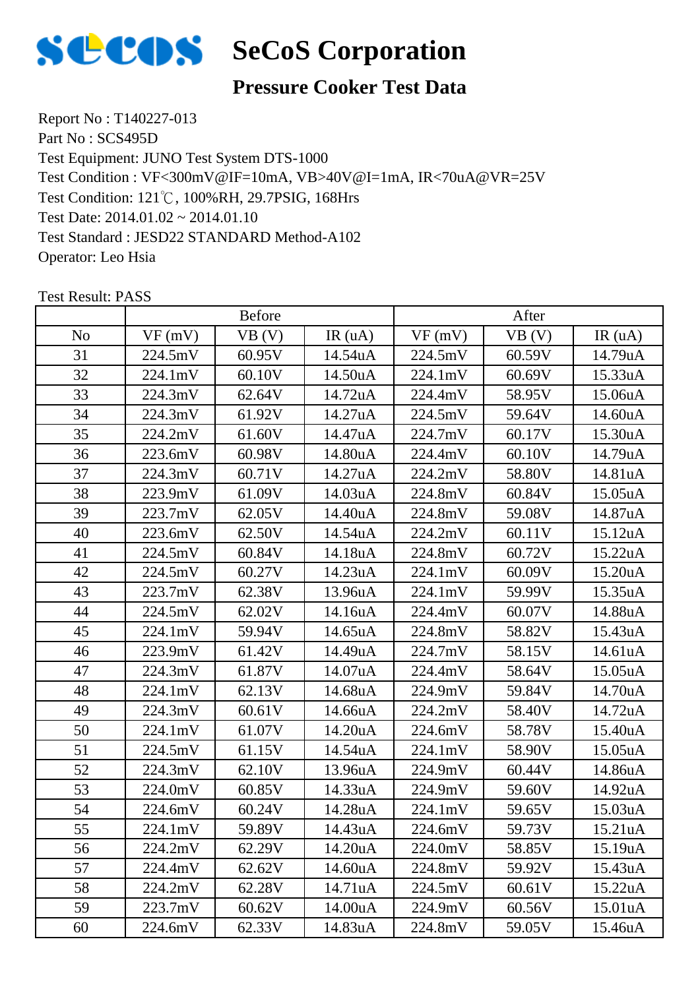

### **Pressure Cooker Test Data**

Report No : T140227-013 Part No : SCS495D Test Equipment: JUNO Test System DTS-1000 Test Condition: 121℃, 100%RH, 29.7PSIG, 168Hrs Test Date: 2014.01.02 ~ 2014.01.10 Test Standard : JESD22 STANDARD Method-A102 Operator: Leo Hsia Test Condition : VF<300mV@IF=10mA, VB>40V@I=1mA, IR<70uA@VR=25V

|                | <b>Before</b> |        |         | After   |        |         |
|----------------|---------------|--------|---------|---------|--------|---------|
| N <sub>o</sub> | VF(mV)        | VB(V)  | IR(uA)  | VF(mV)  | VB (V) | IR(uA)  |
| 31             | 224.5mV       | 60.95V | 14.54uA | 224.5mV | 60.59V | 14.79uA |
| 32             | 224.1mV       | 60.10V | 14.50uA | 224.1mV | 60.69V | 15.33uA |
| 33             | 224.3mV       | 62.64V | 14.72uA | 224.4mV | 58.95V | 15.06uA |
| 34             | 224.3mV       | 61.92V | 14.27uA | 224.5mV | 59.64V | 14.60uA |
| 35             | 224.2mV       | 61.60V | 14.47uA | 224.7mV | 60.17V | 15.30uA |
| 36             | 223.6mV       | 60.98V | 14.80uA | 224.4mV | 60.10V | 14.79uA |
| 37             | 224.3mV       | 60.71V | 14.27uA | 224.2mV | 58.80V | 14.81uA |
| 38             | 223.9mV       | 61.09V | 14.03uA | 224.8mV | 60.84V | 15.05uA |
| 39             | 223.7mV       | 62.05V | 14.40uA | 224.8mV | 59.08V | 14.87uA |
| 40             | 223.6mV       | 62.50V | 14.54uA | 224.2mV | 60.11V | 15.12uA |
| 41             | 224.5mV       | 60.84V | 14.18uA | 224.8mV | 60.72V | 15.22uA |
| 42             | 224.5mV       | 60.27V | 14.23uA | 224.1mV | 60.09V | 15.20uA |
| 43             | 223.7mV       | 62.38V | 13.96uA | 224.1mV | 59.99V | 15.35uA |
| 44             | 224.5mV       | 62.02V | 14.16uA | 224.4mV | 60.07V | 14.88uA |
| 45             | 224.1mV       | 59.94V | 14.65uA | 224.8mV | 58.82V | 15.43uA |
| 46             | 223.9mV       | 61.42V | 14.49uA | 224.7mV | 58.15V | 14.61uA |
| 47             | 224.3mV       | 61.87V | 14.07uA | 224.4mV | 58.64V | 15.05uA |
| 48             | 224.1mV       | 62.13V | 14.68uA | 224.9mV | 59.84V | 14.70uA |
| 49             | 224.3mV       | 60.61V | 14.66uA | 224.2mV | 58.40V | 14.72uA |
| 50             | 224.1mV       | 61.07V | 14.20uA | 224.6mV | 58.78V | 15.40uA |
| 51             | 224.5mV       | 61.15V | 14.54uA | 224.1mV | 58.90V | 15.05uA |
| 52             | 224.3mV       | 62.10V | 13.96uA | 224.9mV | 60.44V | 14.86uA |
| 53             | 224.0mV       | 60.85V | 14.33uA | 224.9mV | 59.60V | 14.92uA |
| 54             | 224.6mV       | 60.24V | 14.28uA | 224.1mV | 59.65V | 15.03uA |
| 55             | 224.1mV       | 59.89V | 14.43uA | 224.6mV | 59.73V | 15.21uA |
| 56             | 224.2mV       | 62.29V | 14.20uA | 224.0mV | 58.85V | 15.19uA |
| 57             | 224.4mV       | 62.62V | 14.60uA | 224.8mV | 59.92V | 15.43uA |
| 58             | 224.2mV       | 62.28V | 14.71uA | 224.5mV | 60.61V | 15.22uA |
| 59             | 223.7mV       | 60.62V | 14.00uA | 224.9mV | 60.56V | 15.01uA |
| 60             | 224.6mV       | 62.33V | 14.83uA | 224.8mV | 59.05V | 15.46uA |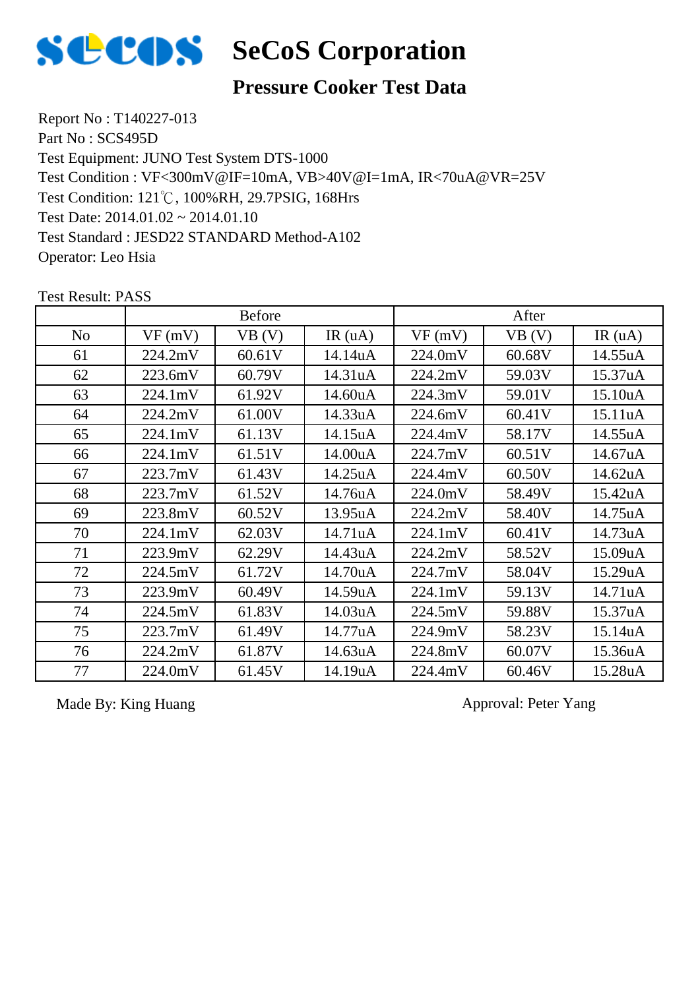

### **Pressure Cooker Test Data**

Report No : T140227-013 Part No : SCS495D Test Equipment: JUNO Test System DTS-1000 Test Condition: 121℃, 100%RH, 29.7PSIG, 168Hrs Test Date: 2014.01.02 ~ 2014.01.10 Test Standard : JESD22 STANDARD Method-A102 Operator: Leo Hsia Test Condition : VF<300mV@IF=10mA, VB>40V@I=1mA, IR<70uA@VR=25V

|                |         | <b>Before</b> |           | After   |        |                      |
|----------------|---------|---------------|-----------|---------|--------|----------------------|
| N <sub>o</sub> | VF(mV)  | VB (V)        | IR $(uA)$ | VF(mV)  | VB(V)  | IR(uA)               |
| 61             | 224.2mV | 60.61V        | 14.14uA   | 224.0mV | 60.68V | 14.55uA              |
| 62             | 223.6mV | 60.79V        | 14.31uA   | 224.2mV | 59.03V | 15.37uA              |
| 63             | 224.1mV | 61.92V        | 14.60uA   | 224.3mV | 59.01V | 15.10uA              |
| 64             | 224.2mV | 61.00V        | 14.33uA   | 224.6mV | 60.41V | 15.11 <sub>u</sub> A |
| 65             | 224.1mV | 61.13V        | 14.15uA   | 224.4mV | 58.17V | 14.55uA              |
| 66             | 224.1mV | 61.51V        | 14.00uA   | 224.7mV | 60.51V | 14.67uA              |
| 67             | 223.7mV | 61.43V        | 14.25uA   | 224.4mV | 60.50V | 14.62uA              |
| 68             | 223.7mV | 61.52V        | 14.76uA   | 224.0mV | 58.49V | 15.42uA              |
| 69             | 223.8mV | 60.52V        | 13.95uA   | 224.2mV | 58.40V | 14.75uA              |
| 70             | 224.1mV | 62.03V        | 14.71uA   | 224.1mV | 60.41V | 14.73uA              |
| 71             | 223.9mV | 62.29V        | 14.43uA   | 224.2mV | 58.52V | 15.09uA              |
| 72             | 224.5mV | 61.72V        | 14.70uA   | 224.7mV | 58.04V | 15.29uA              |
| 73             | 223.9mV | 60.49V        | 14.59uA   | 224.1mV | 59.13V | 14.71uA              |
| 74             | 224.5mV | 61.83V        | 14.03uA   | 224.5mV | 59.88V | 15.37uA              |
| 75             | 223.7mV | 61.49V        | 14.77uA   | 224.9mV | 58.23V | 15.14uA              |
| 76             | 224.2mV | 61.87V        | 14.63uA   | 224.8mV | 60.07V | 15.36uA              |
| 77             | 224.0mV | 61.45V        | 14.19uA   | 224.4mV | 60.46V | 15.28uA              |

Test Result: PASS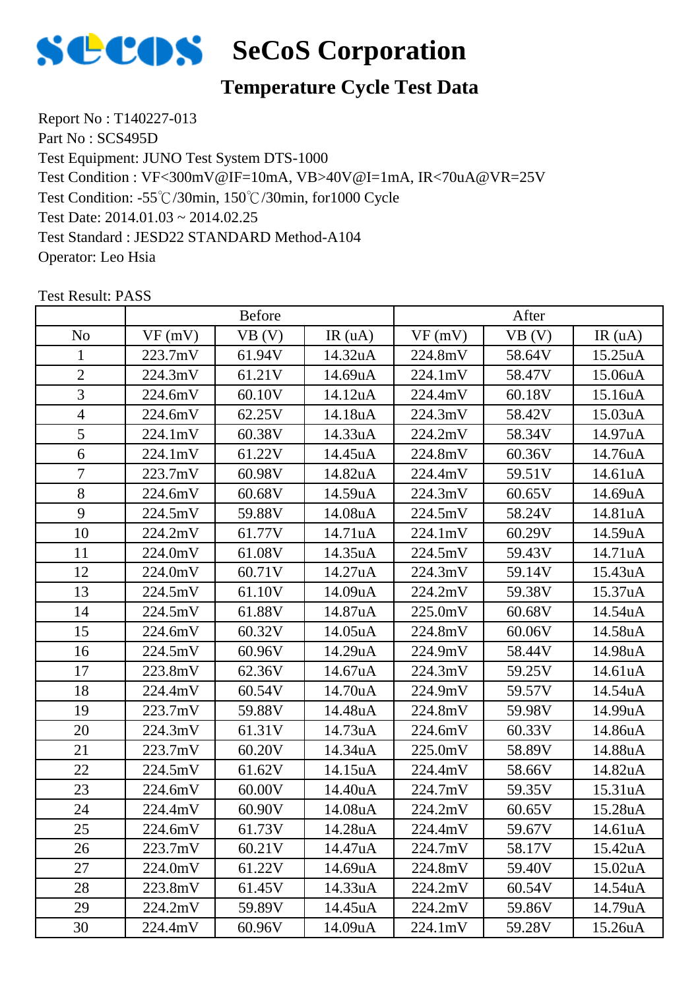

# **Temperature Cycle Test Data**

Report No : T140227-013 Part No : SCS495D Test Equipment: JUNO Test System DTS-1000 Test Condition: -55℃/30min, 150℃/30min, for1000 Cycle Test Date: 2014.01.03 ~ 2014.02.25 Test Standard : JESD22 STANDARD Method-A104 Operator: Leo Hsia Test Condition : VF<300mV@IF=10mA, VB>40V@I=1mA, IR<70uA@VR=25V

|                | <b>Before</b> |        |         | After   |        |                      |
|----------------|---------------|--------|---------|---------|--------|----------------------|
| N <sub>o</sub> | VF(mV)        | VB (V) | IR(uA)  | VF(mV)  | VB (V) | IR(uA)               |
| 1              | 223.7mV       | 61.94V | 14.32uA | 224.8mV | 58.64V | 15.25uA              |
| $\overline{2}$ | 224.3mV       | 61.21V | 14.69uA | 224.1mV | 58.47V | 15.06uA              |
| 3              | 224.6mV       | 60.10V | 14.12uA | 224.4mV | 60.18V | 15.16uA              |
| $\overline{4}$ | 224.6mV       | 62.25V | 14.18uA | 224.3mV | 58.42V | 15.03uA              |
| 5              | 224.1mV       | 60.38V | 14.33uA | 224.2mV | 58.34V | 14.97uA              |
| 6              | 224.1mV       | 61.22V | 14.45uA | 224.8mV | 60.36V | 14.76uA              |
| $\overline{7}$ | 223.7mV       | 60.98V | 14.82uA | 224.4mV | 59.51V | 14.61uA              |
| 8              | 224.6mV       | 60.68V | 14.59uA | 224.3mV | 60.65V | 14.69uA              |
| 9              | 224.5mV       | 59.88V | 14.08uA | 224.5mV | 58.24V | 14.81uA              |
| 10             | 224.2mV       | 61.77V | 14.71uA | 224.1mV | 60.29V | 14.59uA              |
| 11             | 224.0mV       | 61.08V | 14.35uA | 224.5mV | 59.43V | 14.71uA              |
| 12             | 224.0mV       | 60.71V | 14.27uA | 224.3mV | 59.14V | 15.43uA              |
| 13             | 224.5mV       | 61.10V | 14.09uA | 224.2mV | 59.38V | 15.37uA              |
| 14             | 224.5mV       | 61.88V | 14.87uA | 225.0mV | 60.68V | 14.54uA              |
| 15             | 224.6mV       | 60.32V | 14.05uA | 224.8mV | 60.06V | 14.58uA              |
| 16             | 224.5mV       | 60.96V | 14.29uA | 224.9mV | 58.44V | 14.98uA              |
| 17             | 223.8mV       | 62.36V | 14.67uA | 224.3mV | 59.25V | 14.61uA              |
| 18             | 224.4mV       | 60.54V | 14.70uA | 224.9mV | 59.57V | 14.54uA              |
| 19             | 223.7mV       | 59.88V | 14.48uA | 224.8mV | 59.98V | 14.99uA              |
| 20             | 224.3mV       | 61.31V | 14.73uA | 224.6mV | 60.33V | 14.86uA              |
| 21             | 223.7mV       | 60.20V | 14.34uA | 225.0mV | 58.89V | 14.88uA              |
| 22             | 224.5mV       | 61.62V | 14.15uA | 224.4mV | 58.66V | 14.82uA              |
| 23             | 224.6mV       | 60.00V | 14.40uA | 224.7mV | 59.35V | 15.31uA              |
| 24             | 224.4mV       | 60.90V | 14.08uA | 224.2mV | 60.65V | 15.28uA              |
| 25             | 224.6mV       | 61.73V | 14.28uA | 224.4mV | 59.67V | 14.61uA              |
| 26             | 223.7mV       | 60.21V | 14.47uA | 224.7mV | 58.17V | 15.42uA              |
| 27             | 224.0mV       | 61.22V | 14.69uA | 224.8mV | 59.40V | 15.02 <sub>u</sub> A |
| 28             | 223.8mV       | 61.45V | 14.33uA | 224.2mV | 60.54V | 14.54uA              |
| 29             | 224.2mV       | 59.89V | 14.45uA | 224.2mV | 59.86V | 14.79uA              |
| 30             | 224.4mV       | 60.96V | 14.09uA | 224.1mV | 59.28V | 15.26 <sub>u</sub> A |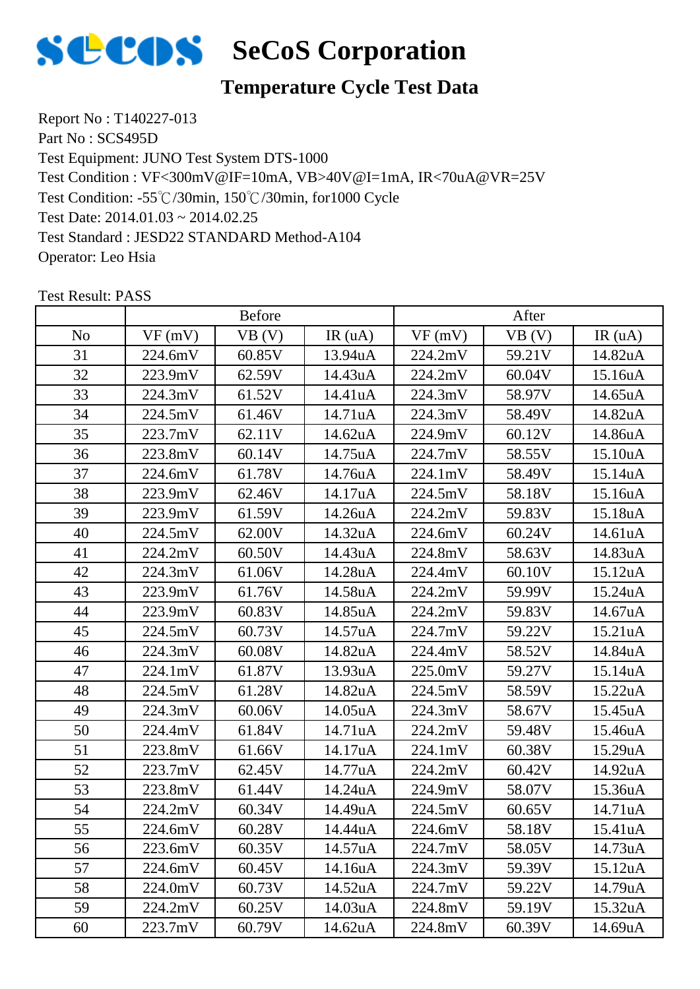

# **Temperature Cycle Test Data**

Report No : T140227-013 Part No : SCS495D Test Equipment: JUNO Test System DTS-1000 Test Condition: -55℃/30min, 150℃/30min, for1000 Cycle Test Date: 2014.01.03 ~ 2014.02.25 Test Standard : JESD22 STANDARD Method-A104 Operator: Leo Hsia Test Condition : VF<300mV@IF=10mA, VB>40V@I=1mA, IR<70uA@VR=25V

|                | <b>Before</b> |        |         | After   |        |                      |
|----------------|---------------|--------|---------|---------|--------|----------------------|
| N <sub>o</sub> | VF(mV)        | VB (V) | IR(uA)  | VF(mV)  | VB (V) | IR $(uA)$            |
| 31             | 224.6mV       | 60.85V | 13.94uA | 224.2mV | 59.21V | 14.82uA              |
| 32             | 223.9mV       | 62.59V | 14.43uA | 224.2mV | 60.04V | 15.16uA              |
| 33             | 224.3mV       | 61.52V | 14.41uA | 224.3mV | 58.97V | 14.65uA              |
| 34             | 224.5mV       | 61.46V | 14.71uA | 224.3mV | 58.49V | 14.82uA              |
| 35             | 223.7mV       | 62.11V | 14.62uA | 224.9mV | 60.12V | 14.86uA              |
| 36             | 223.8mV       | 60.14V | 14.75uA | 224.7mV | 58.55V | 15.10uA              |
| 37             | 224.6mV       | 61.78V | 14.76uA | 224.1mV | 58.49V | 15.14uA              |
| 38             | 223.9mV       | 62.46V | 14.17uA | 224.5mV | 58.18V | 15.16uA              |
| 39             | 223.9mV       | 61.59V | 14.26uA | 224.2mV | 59.83V | 15.18uA              |
| 40             | 224.5mV       | 62.00V | 14.32uA | 224.6mV | 60.24V | 14.61uA              |
| 41             | 224.2mV       | 60.50V | 14.43uA | 224.8mV | 58.63V | 14.83uA              |
| 42             | 224.3mV       | 61.06V | 14.28uA | 224.4mV | 60.10V | 15.12uA              |
| 43             | 223.9mV       | 61.76V | 14.58uA | 224.2mV | 59.99V | 15.24uA              |
| 44             | 223.9mV       | 60.83V | 14.85uA | 224.2mV | 59.83V | 14.67uA              |
| 45             | 224.5mV       | 60.73V | 14.57uA | 224.7mV | 59.22V | 15.21uA              |
| 46             | 224.3mV       | 60.08V | 14.82uA | 224.4mV | 58.52V | 14.84uA              |
| 47             | 224.1mV       | 61.87V | 13.93uA | 225.0mV | 59.27V | 15.14uA              |
| 48             | 224.5mV       | 61.28V | 14.82uA | 224.5mV | 58.59V | 15.22uA              |
| 49             | 224.3mV       | 60.06V | 14.05uA | 224.3mV | 58.67V | 15.45uA              |
| 50             | 224.4mV       | 61.84V | 14.71uA | 224.2mV | 59.48V | 15.46uA              |
| 51             | 223.8mV       | 61.66V | 14.17uA | 224.1mV | 60.38V | 15.29uA              |
| 52             | 223.7mV       | 62.45V | 14.77uA | 224.2mV | 60.42V | 14.92uA              |
| 53             | 223.8mV       | 61.44V | 14.24uA | 224.9mV | 58.07V | 15.36uA              |
| 54             | 224.2mV       | 60.34V | 14.49uA | 224.5mV | 60.65V | 14.71uA              |
| 55             | 224.6mV       | 60.28V | 14.44uA | 224.6mV | 58.18V | 15.41uA              |
| 56             | 223.6mV       | 60.35V | 14.57uA | 224.7mV | 58.05V | 14.73uA              |
| 57             | 224.6mV       | 60.45V | 14.16uA | 224.3mV | 59.39V | 15.12 <sub>u</sub> A |
| 58             | 224.0mV       | 60.73V | 14.52uA | 224.7mV | 59.22V | 14.79uA              |
| 59             | 224.2mV       | 60.25V | 14.03uA | 224.8mV | 59.19V | 15.32uA              |
| 60             | 223.7mV       | 60.79V | 14.62uA | 224.8mV | 60.39V | 14.69uA              |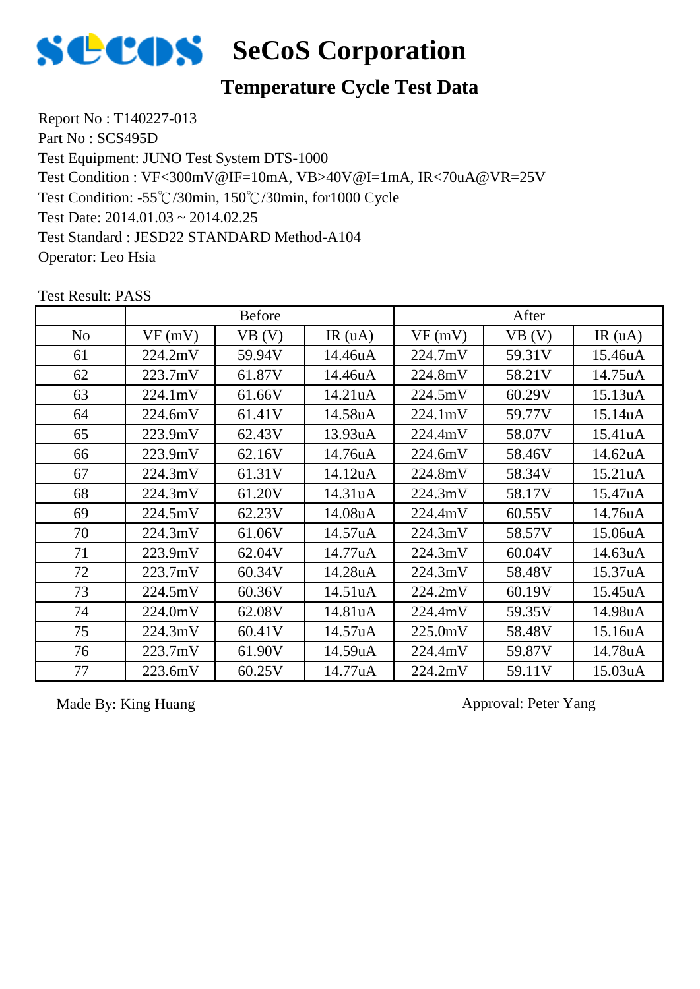

### **Temperature Cycle Test Data**

Report No : T140227-013 Part No : SCS495D Test Equipment: JUNO Test System DTS-1000 Test Condition: -55℃/30min, 150℃/30min, for1000 Cycle Test Date: 2014.01.03 ~ 2014.02.25 Test Standard : JESD22 STANDARD Method-A104 Operator: Leo Hsia Test Condition : VF<300mV@IF=10mA, VB>40V@I=1mA, IR<70uA@VR=25V

No |  $VF(mV)$  |  $VB(V)$  |  $IR(uA)$  |  $VF(mV)$  |  $VB(V)$  |  $IR(uA)$ Before After 61 224.2mV 59.94V 14.46uA 224.7mV 59.31V 15.46uA 62 | 223.7mV | 61.87V | 14.46uA | 224.8mV | 58.21V | 14.75uA 63 | 224.1mV | 61.66V | 14.21uA | 224.5mV | 60.29V | 15.13uA 64 | 224.6mV | 61.41V | 14.58uA | 224.1mV | 59.77V | 15.14uA 65 223.9mV 62.43V 13.93uA 224.4mV 58.07V 15.41uA 66 223.9mV 62.16V 14.76uA 224.6mV 58.46V 14.62uA 67 224.3mV 61.31V 14.12uA 224.8mV 58.34V 15.21uA 68 224.3mV 61.20V 14.31uA 224.3mV 58.17V 15.47uA 69 224.5mV 62.23V 14.08uA 224.4mV 60.55V 14.76uA 70 | 224.3mV | 61.06V | 14.57uA | 224.3mV | 58.57V | 15.06uA 71 223.9mV 62.04V 14.77uA 224.3mV 60.04V 14.63uA 72 223.7mV 60.34V 14.28uA 224.3mV 58.48V 15.37uA 73 224.5mV 60.36V 14.51uA 224.2mV 60.19V 15.45uA 74 224.0mV 62.08V 14.81uA 224.4mV 59.35V 14.98uA 75 224.3mV 60.41V 14.57uA 225.0mV 58.48V 15.16uA 76 223.7mV 61.90V 14.59uA 224.4mV 59.87V 14.78uA 77 223.6mV 60.25V 14.77uA 224.2mV 59.11V 15.03uA

Test Result: PASS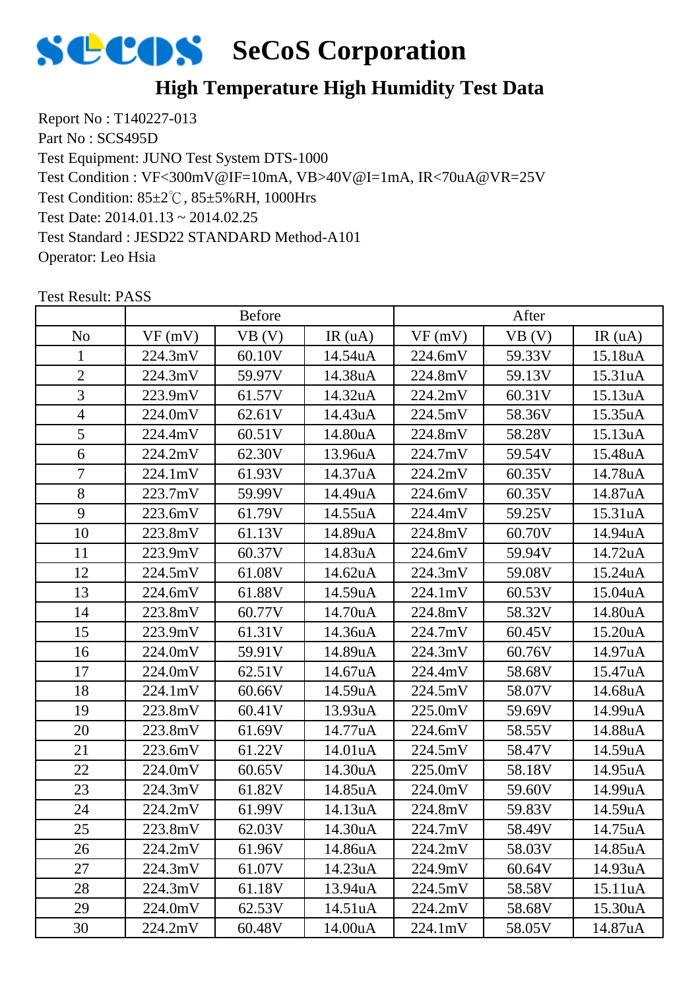

# **High Temperature High Humidity Test Data**

Report No : T140227-013 Part No : SCS495D Test Equipment: JUNO Test System DTS-1000 Test Condition: 85±2℃, 85±5%RH, 1000Hrs Test Date: 2014.01.13 ~ 2014.02.25 Test Standard : JESD22 STANDARD Method-A101 Operator: Leo Hsia Test Condition : VF<300mV@IF=10mA, VB>40V@I=1mA, IR<70uA@VR=25V

|                | <b>Before</b> |        |         | After   |        |         |
|----------------|---------------|--------|---------|---------|--------|---------|
| N <sub>o</sub> | VF(mV)        | VB (V) | IR(uA)  | VF(mV)  | VB (V) | IR(uA)  |
|                | 224.3mV       | 60.10V | 14.54uA | 224.6mV | 59.33V | 15.18uA |
| $\overline{2}$ | 224.3mV       | 59.97V | 14.38uA | 224.8mV | 59.13V | 15.31uA |
| 3              | 223.9mV       | 61.57V | 14.32uA | 224.2mV | 60.31V | 15.13uA |
| $\overline{4}$ | 224.0mV       | 62.61V | 14.43uA | 224.5mV | 58.36V | 15.35uA |
| 5              | 224.4mV       | 60.51V | 14.80uA | 224.8mV | 58.28V | 15.13uA |
| 6              | 224.2mV       | 62.30V | 13.96uA | 224.7mV | 59.54V | 15.48uA |
| $\tau$         | 224.1mV       | 61.93V | 14.37uA | 224.2mV | 60.35V | 14.78uA |
| 8              | 223.7mV       | 59.99V | 14.49uA | 224.6mV | 60.35V | 14.87uA |
| 9              | 223.6mV       | 61.79V | 14.55uA | 224.4mV | 59.25V | 15.31uA |
| 10             | 223.8mV       | 61.13V | 14.89uA | 224.8mV | 60.70V | 14.94uA |
| 11             | 223.9mV       | 60.37V | 14.83uA | 224.6mV | 59.94V | 14.72uA |
| 12             | 224.5mV       | 61.08V | 14.62uA | 224.3mV | 59.08V | 15.24uA |
| 13             | 224.6mV       | 61.88V | 14.59uA | 224.1mV | 60.53V | 15.04uA |
| 14             | 223.8mV       | 60.77V | 14.70uA | 224.8mV | 58.32V | 14.80uA |
| 15             | 223.9mV       | 61.31V | 14.36uA | 224.7mV | 60.45V | 15.20uA |
| 16             | 224.0mV       | 59.91V | 14.89uA | 224.3mV | 60.76V | 14.97uA |
| 17             | 224.0mV       | 62.51V | 14.67uA | 224.4mV | 58.68V | 15.47uA |
| 18             | 224.1mV       | 60.66V | 14.59uA | 224.5mV | 58.07V | 14.68uA |
| 19             | 223.8mV       | 60.41V | 13.93uA | 225.0mV | 59.69V | 14.99uA |
| 20             | 223.8mV       | 61.69V | 14.77uA | 224.6mV | 58.55V | 14.88uA |
| 21             | 223.6mV       | 61.22V | 14.01uA | 224.5mV | 58.47V | 14.59uA |
| 22             | 224.0mV       | 60.65V | 14.30uA | 225.0mV | 58.18V | 14.95uA |
| 23             | 224.3mV       | 61.82V | 14.85uA | 224.0mV | 59.60V | 14.99uA |
| 24             | 224.2mV       | 61.99V | 14.13uA | 224.8mV | 59.83V | 14.59uA |
| 25             | 223.8mV       | 62.03V | 14.30uA | 224.7mV | 58.49V | 14.75uA |
| 26             | 224.2mV       | 61.96V | 14.86uA | 224.2mV | 58.03V | 14.85uA |
| 27             | 224.3mV       | 61.07V | 14.23uA | 224.9mV | 60.64V | 14.93uA |
| 28             | 224.3mV       | 61.18V | 13.94uA | 224.5mV | 58.58V | 15.11uA |
| 29             | 224.0mV       | 62.53V | 14.51uA | 224.2mV | 58.68V | 15.30uA |
| 30             | 224.2mV       | 60.48V | 14.00uA | 224.1mV | 58.05V | 14.87uA |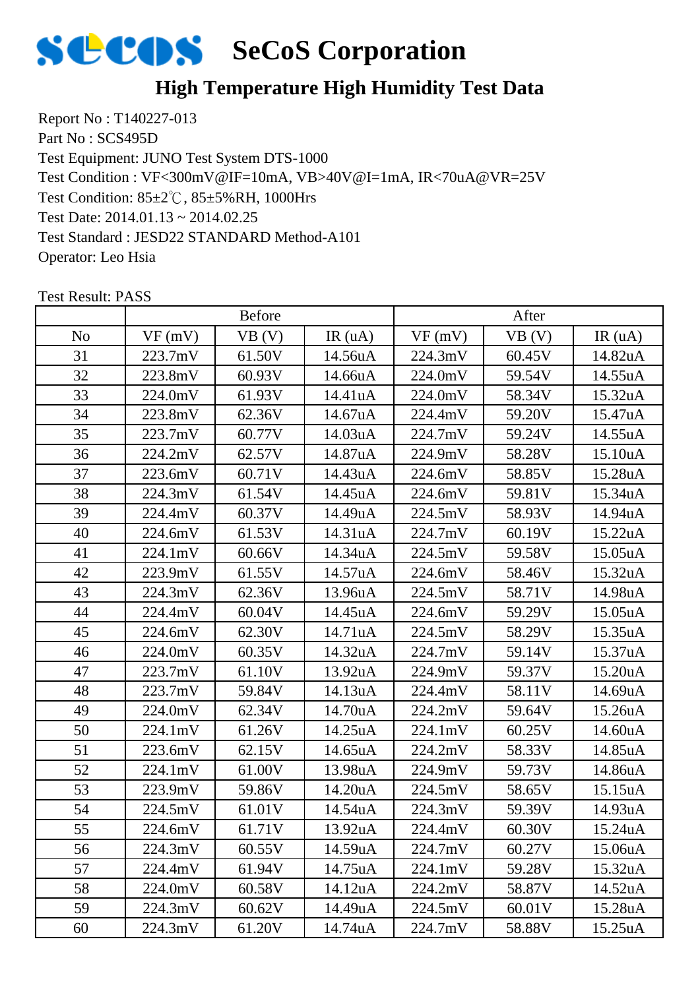

# **High Temperature High Humidity Test Data**

Report No : T140227-013 Part No : SCS495D Test Equipment: JUNO Test System DTS-1000 Test Condition: 85±2℃, 85±5%RH, 1000Hrs Test Date: 2014.01.13 ~ 2014.02.25 Test Standard : JESD22 STANDARD Method-A101 Operator: Leo Hsia Test Condition : VF<300mV@IF=10mA, VB>40V@I=1mA, IR<70uA@VR=25V

|                | <b>Before</b> |        |         | After   |        |         |
|----------------|---------------|--------|---------|---------|--------|---------|
| N <sub>o</sub> | VF(mV)        | VB(V)  | IR(uA)  | VF(mV)  | VB (V) | IR(uA)  |
| 31             | 223.7mV       | 61.50V | 14.56uA | 224.3mV | 60.45V | 14.82uA |
| 32             | 223.8mV       | 60.93V | 14.66uA | 224.0mV | 59.54V | 14.55uA |
| 33             | 224.0mV       | 61.93V | 14.41uA | 224.0mV | 58.34V | 15.32uA |
| 34             | 223.8mV       | 62.36V | 14.67uA | 224.4mV | 59.20V | 15.47uA |
| 35             | 223.7mV       | 60.77V | 14.03uA | 224.7mV | 59.24V | 14.55uA |
| 36             | 224.2mV       | 62.57V | 14.87uA | 224.9mV | 58.28V | 15.10uA |
| 37             | 223.6mV       | 60.71V | 14.43uA | 224.6mV | 58.85V | 15.28uA |
| 38             | 224.3mV       | 61.54V | 14.45uA | 224.6mV | 59.81V | 15.34uA |
| 39             | 224.4mV       | 60.37V | 14.49uA | 224.5mV | 58.93V | 14.94uA |
| 40             | 224.6mV       | 61.53V | 14.31uA | 224.7mV | 60.19V | 15.22uA |
| 41             | 224.1mV       | 60.66V | 14.34uA | 224.5mV | 59.58V | 15.05uA |
| 42             | 223.9mV       | 61.55V | 14.57uA | 224.6mV | 58.46V | 15.32uA |
| 43             | 224.3mV       | 62.36V | 13.96uA | 224.5mV | 58.71V | 14.98uA |
| 44             | 224.4mV       | 60.04V | 14.45uA | 224.6mV | 59.29V | 15.05uA |
| 45             | 224.6mV       | 62.30V | 14.71uA | 224.5mV | 58.29V | 15.35uA |
| 46             | 224.0mV       | 60.35V | 14.32uA | 224.7mV | 59.14V | 15.37uA |
| 47             | 223.7mV       | 61.10V | 13.92uA | 224.9mV | 59.37V | 15.20uA |
| 48             | 223.7mV       | 59.84V | 14.13uA | 224.4mV | 58.11V | 14.69uA |
| 49             | 224.0mV       | 62.34V | 14.70uA | 224.2mV | 59.64V | 15.26uA |
| 50             | 224.1mV       | 61.26V | 14.25uA | 224.1mV | 60.25V | 14.60uA |
| 51             | 223.6mV       | 62.15V | 14.65uA | 224.2mV | 58.33V | 14.85uA |
| 52             | 224.1mV       | 61.00V | 13.98uA | 224.9mV | 59.73V | 14.86uA |
| 53             | 223.9mV       | 59.86V | 14.20uA | 224.5mV | 58.65V | 15.15uA |
| 54             | 224.5mV       | 61.01V | 14.54uA | 224.3mV | 59.39V | 14.93uA |
| 55             | 224.6mV       | 61.71V | 13.92uA | 224.4mV | 60.30V | 15.24uA |
| 56             | 224.3mV       | 60.55V | 14.59uA | 224.7mV | 60.27V | 15.06uA |
| 57             | 224.4mV       | 61.94V | 14.75uA | 224.1mV | 59.28V | 15.32uA |
| 58             | 224.0mV       | 60.58V | 14.12uA | 224.2mV | 58.87V | 14.52uA |
| 59             | 224.3mV       | 60.62V | 14.49uA | 224.5mV | 60.01V | 15.28uA |
| 60             | 224.3mV       | 61.20V | 14.74uA | 224.7mV | 58.88V | 15.25uA |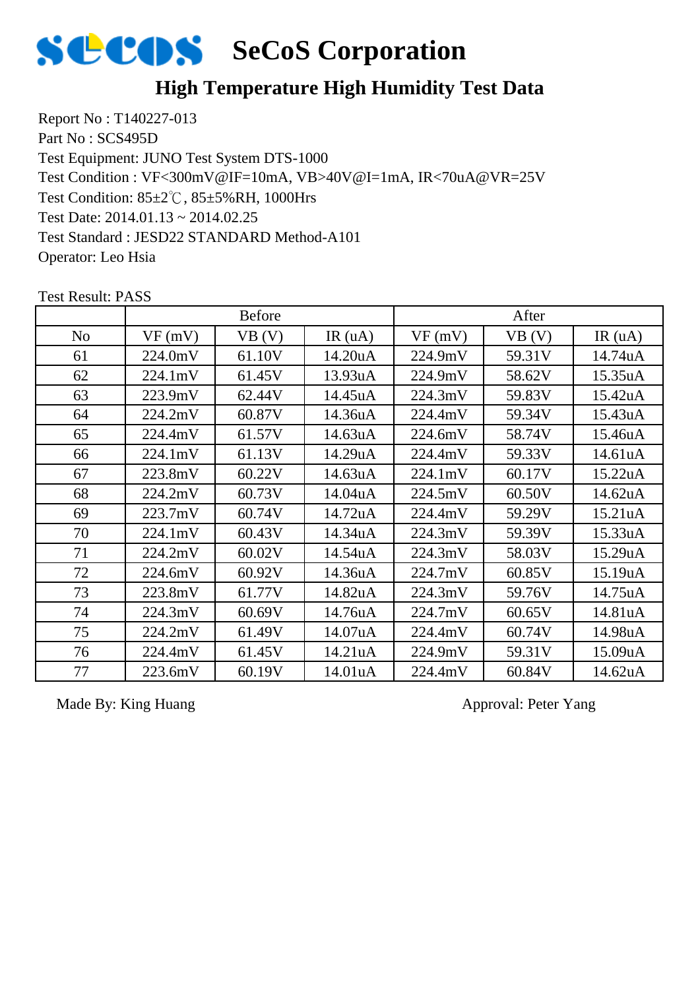

# **High Temperature High Humidity Test Data**

Report No : T140227-013 Part No : SCS495D Test Equipment: JUNO Test System DTS-1000 Test Condition: 85±2℃, 85±5%RH, 1000Hrs Test Date: 2014.01.13 ~ 2014.02.25 Test Standard : JESD22 STANDARD Method-A101 Operator: Leo Hsia Test Condition : VF<300mV@IF=10mA, VB>40V@I=1mA, IR<70uA@VR=25V

|                | <b>Before</b> |        |           | After   |        |         |
|----------------|---------------|--------|-----------|---------|--------|---------|
| N <sub>o</sub> | VF(mV)        | VB(V)  | IR $(uA)$ | VF(mV)  | VB(V)  | IR(uA)  |
| 61             | 224.0mV       | 61.10V | 14.20uA   | 224.9mV | 59.31V | 14.74uA |
| 62             | 224.1mV       | 61.45V | 13.93uA   | 224.9mV | 58.62V | 15.35uA |
| 63             | 223.9mV       | 62.44V | 14.45uA   | 224.3mV | 59.83V | 15.42uA |
| 64             | 224.2mV       | 60.87V | 14.36uA   | 224.4mV | 59.34V | 15.43uA |
| 65             | 224.4mV       | 61.57V | 14.63uA   | 224.6mV | 58.74V | 15.46uA |
| 66             | 224.1mV       | 61.13V | 14.29uA   | 224.4mV | 59.33V | 14.61uA |
| 67             | 223.8mV       | 60.22V | 14.63uA   | 224.1mV | 60.17V | 15.22uA |
| 68             | 224.2mV       | 60.73V | 14.04uA   | 224.5mV | 60.50V | 14.62uA |
| 69             | 223.7mV       | 60.74V | 14.72uA   | 224.4mV | 59.29V | 15.21uA |
| 70             | 224.1mV       | 60.43V | 14.34uA   | 224.3mV | 59.39V | 15.33uA |
| 71             | 224.2mV       | 60.02V | 14.54uA   | 224.3mV | 58.03V | 15.29uA |
| 72             | 224.6mV       | 60.92V | 14.36uA   | 224.7mV | 60.85V | 15.19uA |
| 73             | 223.8mV       | 61.77V | 14.82uA   | 224.3mV | 59.76V | 14.75uA |
| 74             | 224.3mV       | 60.69V | 14.76uA   | 224.7mV | 60.65V | 14.81uA |
| 75             | 224.2mV       | 61.49V | 14.07uA   | 224.4mV | 60.74V | 14.98uA |
| 76             | 224.4mV       | 61.45V | 14.21uA   | 224.9mV | 59.31V | 15.09uA |
| 77             | 223.6mV       | 60.19V | 14.01uA   | 224.4mV | 60.84V | 14.62uA |

Test Result: PASS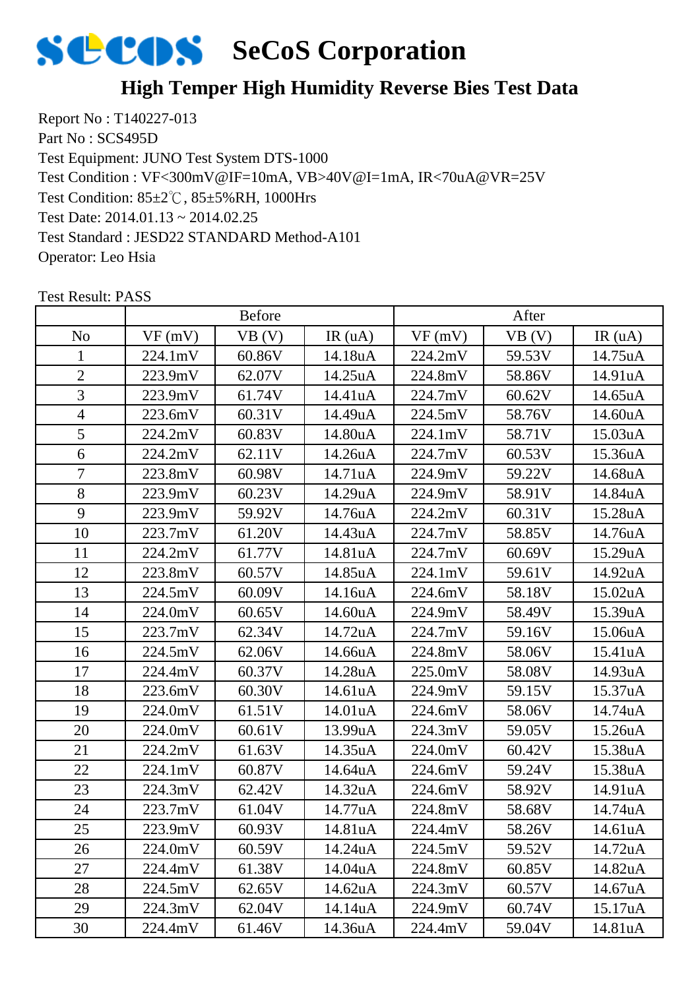

### **High Temper High Humidity Reverse Bies Test Data**

Report No : T140227-013 Part No : SCS495D Test Equipment: JUNO Test System DTS-1000 Test Condition: 85±2℃, 85±5%RH, 1000Hrs Test Date: 2014.01.13 ~ 2014.02.25 Test Standard : JESD22 STANDARD Method-A101 Operator: Leo Hsia Test Condition : VF<300mV@IF=10mA, VB>40V@I=1mA, IR<70uA@VR=25V

|                | <b>Before</b> |        |         | After   |        |         |
|----------------|---------------|--------|---------|---------|--------|---------|
| N <sub>o</sub> | VF(mV)        | VB(V)  | IR(uA)  | VF(mV)  | VB(V)  | IR(uA)  |
| 1              | 224.1mV       | 60.86V | 14.18uA | 224.2mV | 59.53V | 14.75uA |
| $\overline{2}$ | 223.9mV       | 62.07V | 14.25uA | 224.8mV | 58.86V | 14.91uA |
| $\overline{3}$ | 223.9mV       | 61.74V | 14.41uA | 224.7mV | 60.62V | 14.65uA |
| $\overline{4}$ | 223.6mV       | 60.31V | 14.49uA | 224.5mV | 58.76V | 14.60uA |
| 5              | 224.2mV       | 60.83V | 14.80uA | 224.1mV | 58.71V | 15.03uA |
| 6              | 224.2mV       | 62.11V | 14.26uA | 224.7mV | 60.53V | 15.36uA |
| $\overline{7}$ | 223.8mV       | 60.98V | 14.71uA | 224.9mV | 59.22V | 14.68uA |
| 8              | 223.9mV       | 60.23V | 14.29uA | 224.9mV | 58.91V | 14.84uA |
| 9              | 223.9mV       | 59.92V | 14.76uA | 224.2mV | 60.31V | 15.28uA |
| 10             | 223.7mV       | 61.20V | 14.43uA | 224.7mV | 58.85V | 14.76uA |
| 11             | 224.2mV       | 61.77V | 14.81uA | 224.7mV | 60.69V | 15.29uA |
| 12             | 223.8mV       | 60.57V | 14.85uA | 224.1mV | 59.61V | 14.92uA |
| 13             | 224.5mV       | 60.09V | 14.16uA | 224.6mV | 58.18V | 15.02uA |
| 14             | 224.0mV       | 60.65V | 14.60uA | 224.9mV | 58.49V | 15.39uA |
| 15             | 223.7mV       | 62.34V | 14.72uA | 224.7mV | 59.16V | 15.06uA |
| 16             | 224.5mV       | 62.06V | 14.66uA | 224.8mV | 58.06V | 15.41uA |
| 17             | 224.4mV       | 60.37V | 14.28uA | 225.0mV | 58.08V | 14.93uA |
| 18             | 223.6mV       | 60.30V | 14.61uA | 224.9mV | 59.15V | 15.37uA |
| 19             | 224.0mV       | 61.51V | 14.01uA | 224.6mV | 58.06V | 14.74uA |
| 20             | 224.0mV       | 60.61V | 13.99uA | 224.3mV | 59.05V | 15.26uA |
| 21             | 224.2mV       | 61.63V | 14.35uA | 224.0mV | 60.42V | 15.38uA |
| 22             | 224.1mV       | 60.87V | 14.64uA | 224.6mV | 59.24V | 15.38uA |
| 23             | 224.3mV       | 62.42V | 14.32uA | 224.6mV | 58.92V | 14.91uA |
| 24             | 223.7mV       | 61.04V | 14.77uA | 224.8mV | 58.68V | 14.74uA |
| 25             | 223.9mV       | 60.93V | 14.81uA | 224.4mV | 58.26V | 14.61uA |
| 26             | 224.0mV       | 60.59V | 14.24uA | 224.5mV | 59.52V | 14.72uA |
| 27             | 224.4mV       | 61.38V | 14.04uA | 224.8mV | 60.85V | 14.82uA |
| 28             | 224.5mV       | 62.65V | 14.62uA | 224.3mV | 60.57V | 14.67uA |
| 29             | 224.3mV       | 62.04V | 14.14uA | 224.9mV | 60.74V | 15.17uA |
| 30             | 224.4mV       | 61.46V | 14.36uA | 224.4mV | 59.04V | 14.81uA |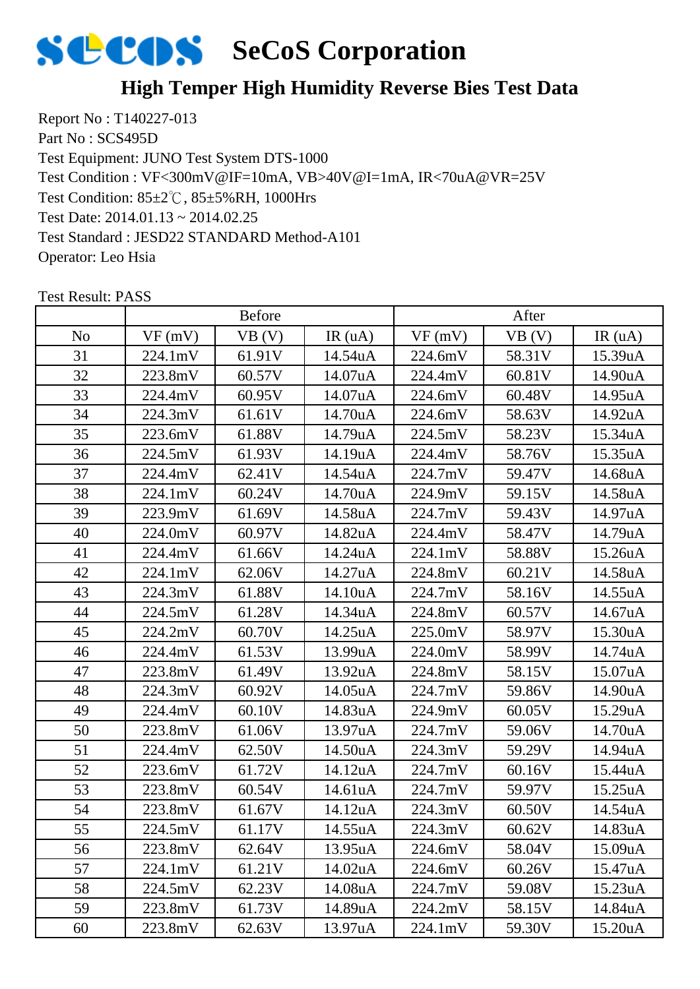

### **High Temper High Humidity Reverse Bies Test Data**

Report No : T140227-013 Part No : SCS495D Test Equipment: JUNO Test System DTS-1000 Test Condition: 85±2℃, 85±5%RH, 1000Hrs Test Date: 2014.01.13 ~ 2014.02.25 Test Standard : JESD22 STANDARD Method-A101 Operator: Leo Hsia Test Condition : VF<300mV@IF=10mA, VB>40V@I=1mA, IR<70uA@VR=25V

|                | <b>Before</b> |        |         | After   |        |                      |
|----------------|---------------|--------|---------|---------|--------|----------------------|
| N <sub>o</sub> | VF(mV)        | VB(V)  | IR(uA)  | VF(mV)  | VB(V)  | IR(uA)               |
| 31             | 224.1mV       | 61.91V | 14.54uA | 224.6mV | 58.31V | 15.39uA              |
| 32             | 223.8mV       | 60.57V | 14.07uA | 224.4mV | 60.81V | 14.90uA              |
| 33             | 224.4mV       | 60.95V | 14.07uA | 224.6mV | 60.48V | 14.95uA              |
| 34             | 224.3mV       | 61.61V | 14.70uA | 224.6mV | 58.63V | 14.92uA              |
| 35             | 223.6mV       | 61.88V | 14.79uA | 224.5mV | 58.23V | 15.34uA              |
| 36             | 224.5mV       | 61.93V | 14.19uA | 224.4mV | 58.76V | 15.35uA              |
| 37             | 224.4mV       | 62.41V | 14.54uA | 224.7mV | 59.47V | 14.68uA              |
| 38             | 224.1mV       | 60.24V | 14.70uA | 224.9mV | 59.15V | 14.58uA              |
| 39             | 223.9mV       | 61.69V | 14.58uA | 224.7mV | 59.43V | 14.97uA              |
| 40             | 224.0mV       | 60.97V | 14.82uA | 224.4mV | 58.47V | 14.79uA              |
| 41             | 224.4mV       | 61.66V | 14.24uA | 224.1mV | 58.88V | 15.26uA              |
| 42             | 224.1mV       | 62.06V | 14.27uA | 224.8mV | 60.21V | 14.58uA              |
| 43             | 224.3mV       | 61.88V | 14.10uA | 224.7mV | 58.16V | 14.55uA              |
| 44             | 224.5mV       | 61.28V | 14.34uA | 224.8mV | 60.57V | 14.67uA              |
| 45             | 224.2mV       | 60.70V | 14.25uA | 225.0mV | 58.97V | 15.30uA              |
| 46             | 224.4mV       | 61.53V | 13.99uA | 224.0mV | 58.99V | 14.74uA              |
| 47             | 223.8mV       | 61.49V | 13.92uA | 224.8mV | 58.15V | 15.07uA              |
| 48             | 224.3mV       | 60.92V | 14.05uA | 224.7mV | 59.86V | 14.90uA              |
| 49             | 224.4mV       | 60.10V | 14.83uA | 224.9mV | 60.05V | 15.29uA              |
| 50             | 223.8mV       | 61.06V | 13.97uA | 224.7mV | 59.06V | 14.70uA              |
| 51             | 224.4mV       | 62.50V | 14.50uA | 224.3mV | 59.29V | 14.94uA              |
| 52             | 223.6mV       | 61.72V | 14.12uA | 224.7mV | 60.16V | 15.44uA              |
| 53             | 223.8mV       | 60.54V | 14.61uA | 224.7mV | 59.97V | 15.25uA              |
| 54             | 223.8mV       | 61.67V | 14.12uA | 224.3mV | 60.50V | 14.54uA              |
| 55             | 224.5mV       | 61.17V | 14.55uA | 224.3mV | 60.62V | 14.83uA              |
| 56             | 223.8mV       | 62.64V | 13.95uA | 224.6mV | 58.04V | 15.09 <sub>u</sub> A |
| 57             | 224.1mV       | 61.21V | 14.02uA | 224.6mV | 60.26V | 15.47uA              |
| 58             | 224.5mV       | 62.23V | 14.08uA | 224.7mV | 59.08V | 15.23uA              |
| 59             | 223.8mV       | 61.73V | 14.89uA | 224.2mV | 58.15V | 14.84uA              |
| 60             | 223.8mV       | 62.63V | 13.97uA | 224.1mV | 59.30V | 15.20uA              |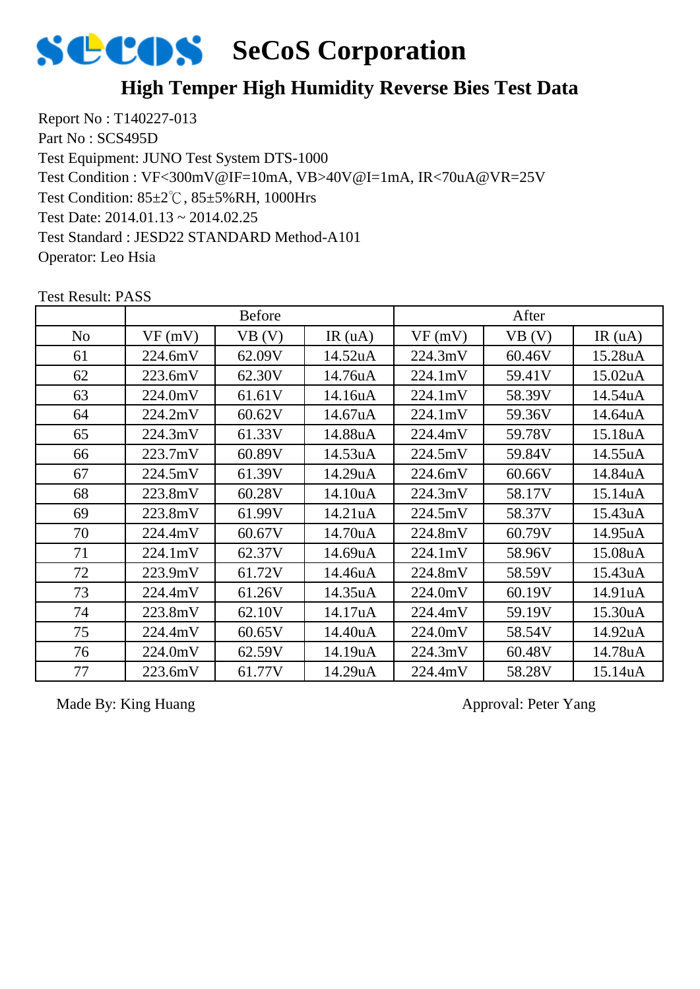

### **High Temper High Humidity Reverse Bies Test Data**

Report No : T140227-013 Part No : SCS495D Test Equipment: JUNO Test System DTS-1000 Test Condition: 85±2℃, 85±5%RH, 1000Hrs Test Date: 2014.01.13 ~ 2014.02.25 Test Standard : JESD22 STANDARD Method-A101 Operator: Leo Hsia Test Condition : VF<300mV@IF=10mA, VB>40V@I=1mA, IR<70uA@VR=25V

|                | <b>Before</b> |        |         | After   |        |         |
|----------------|---------------|--------|---------|---------|--------|---------|
| N <sub>o</sub> | VF(mV)        | VB(V)  | IR(uA)  | VF(mV)  | VB (V) | IR(uA)  |
| 61             | 224.6mV       | 62.09V | 14.52uA | 224.3mV | 60.46V | 15.28uA |
| 62             | 223.6mV       | 62.30V | 14.76uA | 224.1mV | 59.41V | 15.02uA |
| 63             | 224.0mV       | 61.61V | 14.16uA | 224.1mV | 58.39V | 14.54uA |
| 64             | 224.2mV       | 60.62V | 14.67uA | 224.1mV | 59.36V | 14.64uA |
| 65             | 224.3mV       | 61.33V | 14.88uA | 224.4mV | 59.78V | 15.18uA |
| 66             | 223.7mV       | 60.89V | 14.53uA | 224.5mV | 59.84V | 14.55uA |
| 67             | 224.5mV       | 61.39V | 14.29uA | 224.6mV | 60.66V | 14.84uA |
| 68             | 223.8mV       | 60.28V | 14.10uA | 224.3mV | 58.17V | 15.14uA |
| 69             | 223.8mV       | 61.99V | 14.21uA | 224.5mV | 58.37V | 15.43uA |
| 70             | 224.4mV       | 60.67V | 14.70uA | 224.8mV | 60.79V | 14.95uA |
| 71             | 224.1mV       | 62.37V | 14.69uA | 224.1mV | 58.96V | 15.08uA |
| 72             | 223.9mV       | 61.72V | 14.46uA | 224.8mV | 58.59V | 15.43uA |
| 73             | 224.4mV       | 61.26V | 14.35uA | 224.0mV | 60.19V | 14.91uA |
| 74             | 223.8mV       | 62.10V | 14.17uA | 224.4mV | 59.19V | 15.30uA |
| 75             | 224.4mV       | 60.65V | 14.40uA | 224.0mV | 58.54V | 14.92uA |
| 76             | 224.0mV       | 62.59V | 14.19uA | 224.3mV | 60.48V | 14.78uA |
| 77             | 223.6mV       | 61.77V | 14.29uA | 224.4mV | 58.28V | 15.14uA |

Test Result: PASS